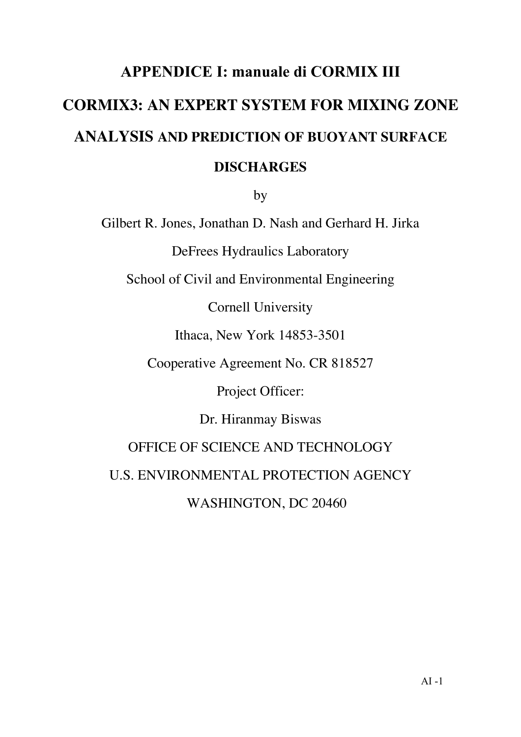# APPENDICE I: manuale di CORMIX III **CORMIX3: AN EXPERT SYSTEM FOR MIXING ZONE ANALYSIS AND PREDICTION OF BUOYANT SURFACE DISCHARGES**

by

Gilbert R. Jones, Jonathan D. Nash and Gerhard H. Jirka

DeFrees Hydraulics Laboratory

School of Civil and Environmental Engineering

Cornell University

Ithaca, New York 14853-3501

Cooperative Agreement No. CR 818527

Project Officer:

Dr. Hiranmay Biswas

OFFICE OF SCIENCE AND TECHNOLOGY

U.S. ENVIRONMENTAL PROTECTION AGENCY

WASHINGTON, DC 20460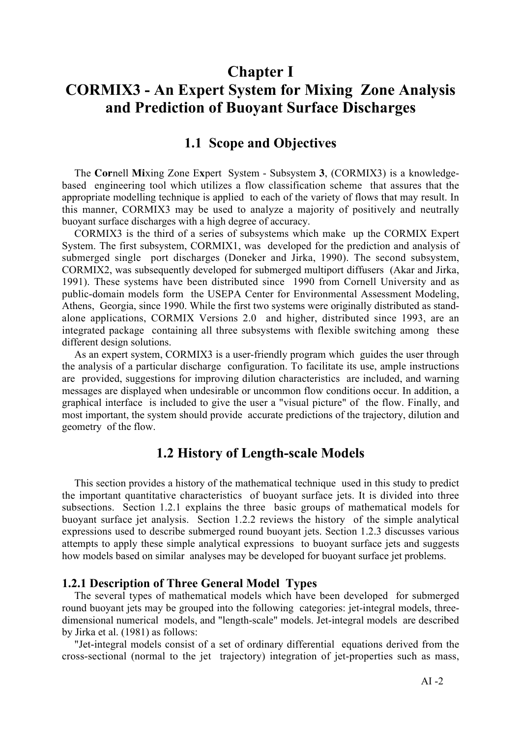# Chapter I CORMIX3 - An Expert System for Mixing Zone Analysis and Prediction of Buoyant Surface Discharges

### 1.1 Scope and Objectives

The **Cor**nell **Mi**xing Zone E**x**pert System - Subsystem **3**, (CORMIX3) is a knowledgebased engineering tool which utilizes a flow classification scheme that assures that the appropriate modelling technique is applied to each of the variety of flows that may result. In this manner, CORMIX3 may be used to analyze a majority of positively and neutrally buoyant surface discharges with a high degree of accuracy.

CORMIX3 is the third of a series of subsystems which make up the CORMIX Expert System. The first subsystem, CORMIX1, was developed for the prediction and analysis of submerged single port discharges (Doneker and Jirka, 1990). The second subsystem, CORMIX2, was subsequently developed for submerged multiport diffusers (Akar and Jirka, 1991). These systems have been distributed since 1990 from Cornell University and as public-domain models form the USEPA Center for Environmental Assessment Modeling, Athens, Georgia, since 1990. While the first two systems were originally distributed as standalone applications, CORMIX Versions 2.0 and higher, distributed since 1993, are an integrated package containing all three subsystems with flexible switching among these different design solutions.

As an expert system, CORMIX3 is a user-friendly program which guides the user through the analysis of a particular discharge configuration. To facilitate its use, ample instructions are provided, suggestions for improving dilution characteristics are included, and warning messages are displayed when undesirable or uncommon flow conditions occur. In addition, a graphical interface is included to give the user a "visual picture" of the flow. Finally, and most important, the system should provide accurate predictions of the trajectory, dilution and geometry of the flow.

### 1.2 History of Length-scale Models

This section provides a history of the mathematical technique used in this study to predict the important quantitative characteristics of buoyant surface jets. It is divided into three subsections. Section 1.2.1 explains the three basic groups of mathematical models for buoyant surface jet analysis. Section 1.2.2 reviews the history of the simple analytical expressions used to describe submerged round buoyant jets. Section 1.2.3 discusses various attempts to apply these simple analytical expressions to buoyant surface jets and suggests how models based on similar analyses may be developed for buoyant surface jet problems.

### 1.2.1 Description of Three General Model Types

The several types of mathematical models which have been developed for submerged round buoyant jets may be grouped into the following categories: jet-integral models, threedimensional numerical models, and "length-scale" models. Jet-integral models are described by Jirka et al. (1981) as follows:

"Jet-integral models consist of a set of ordinary differential equations derived from the cross-sectional (normal to the jet trajectory) integration of jet-properties such as mass,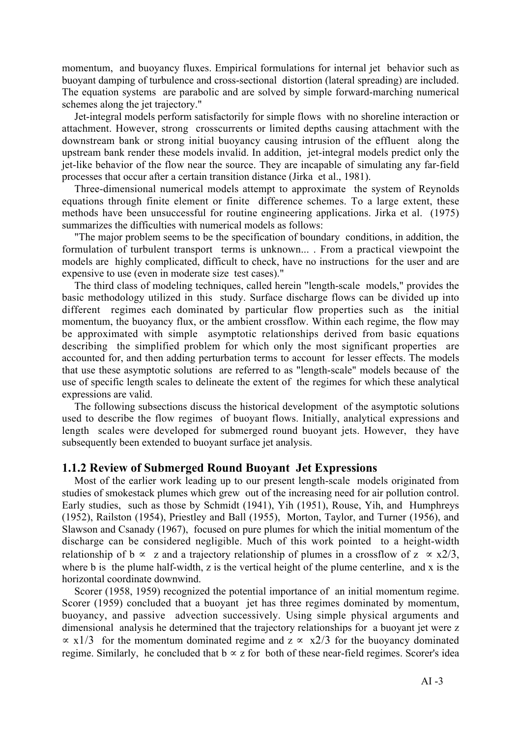momentum, and buoyancy fluxes. Empirical formulations for internal jet behavior such as buoyant damping of turbulence and cross-sectional distortion (lateral spreading) are included. The equation systems are parabolic and are solved by simple forward-marching numerical schemes along the jet trajectory."

Jet-integral models perform satisfactorily for simple flows with no shoreline interaction or attachment. However, strong crosscurrents or limited depths causing attachment with the downstream bank or strong initial buoyancy causing intrusion of the effluent along the upstream bank render these models invalid. In addition, jet-integral models predict only the jet-like behavior of the flow near the source. They are incapable of simulating any far-field processes that occur after a certain transition distance (Jirka et al., 1981).

Three-dimensional numerical models attempt to approximate the system of Reynolds equations through finite element or finite difference schemes. To a large extent, these methods have been unsuccessful for routine engineering applications. Jirka et al. (1975) summarizes the difficulties with numerical models as follows:

"The major problem seems to be the specification of boundary conditions, in addition, the formulation of turbulent transport terms is unknown... . From a practical viewpoint the models are highly complicated, difficult to check, have no instructions for the user and are expensive to use (even in moderate size test cases)."

The third class of modeling techniques, called herein "length-scale models," provides the basic methodology utilized in this study. Surface discharge flows can be divided up into different regimes each dominated by particular flow properties such as the initial momentum, the buoyancy flux, or the ambient crossflow. Within each regime, the flow may be approximated with simple asymptotic relationships derived from basic equations describing the simplified problem for which only the most significant properties are accounted for, and then adding perturbation terms to account for lesser effects. The models that use these asymptotic solutions are referred to as "length-scale" models because of the use of specific length scales to delineate the extent of the regimes for which these analytical expressions are valid.

The following subsections discuss the historical development of the asymptotic solutions used to describe the flow regimes of buoyant flows. Initially, analytical expressions and length scales were developed for submerged round buoyant jets. However, they have subsequently been extended to buoyant surface jet analysis.

### 1.1.2 Review of Submerged Round Buoyant Jet Expressions

Most of the earlier work leading up to our present length-scale models originated from studies of smokestack plumes which grew out of the increasing need for air pollution control. Early studies, such as those by Schmidt (1941), Yih (1951), Rouse, Yih, and Humphreys (1952), Railston (1954), Priestley and Ball (1955), Morton, Taylor, and Turner (1956), and Slawson and Csanady (1967), focused on pure plumes for which the initial momentum of the discharge can be considered negligible. Much of this work pointed to a height-width relationship of b ∝ z and a trajectory relationship of plumes in a crossflow of z  $\propto x/3$ , where b is the plume half-width, z is the vertical height of the plume centerline, and x is the horizontal coordinate downwind.

Scorer (1958, 1959) recognized the potential importance of an initial momentum regime. Scorer (1959) concluded that a buoyant jet has three regimes dominated by momentum, buoyancy, and passive advection successively. Using simple physical arguments and dimensional analysis he determined that the trajectory relationships for a buoyant jet were z  $\propto x/3$  for the momentum dominated regime and  $z \propto x/3$  for the buoyancy dominated regime. Similarly, he concluded that  $b \propto z$  for both of these near-field regimes. Scorer's idea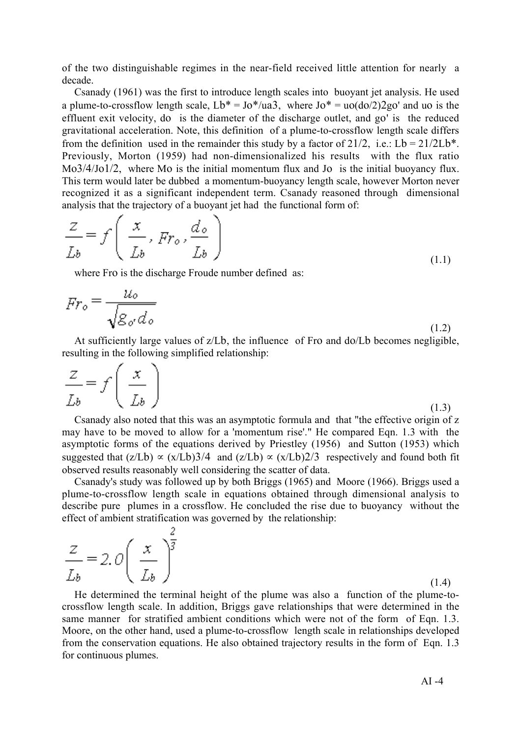of the two distinguishable regimes in the near-field received little attention for nearly a decade.

Csanady (1961) was the first to introduce length scales into buoyant jet analysis. He used a plume-to-crossflow length scale,  $Lb^* = Jo^*/ua^3$ , where  $Jo^* = u o(do/2)2go'$  and uo is the effluent exit velocity, do is the diameter of the discharge outlet, and go' is the reduced gravitational acceleration. Note, this definition of a plume-to-crossflow length scale differs from the definition used in the remainder this study by a factor of  $21/2$ , i.e.: Lb =  $21/2Lb^*$ . Previously, Morton (1959) had non-dimensionalized his results with the flux ratio Mo3/4/Jo1/2, where Mo is the initial momentum flux and Jo is the initial buoyancy flux. This term would later be dubbed a momentum-buoyancy length scale, however Morton never recognized it as a significant independent term. Csanady reasoned through dimensional analysis that the trajectory of a buoyant jet had the functional form of:

$$
\frac{Z}{Lb} = f\left(\frac{x}{Lb}, Fr_o, \frac{d_o}{Lb}\right)
$$
\n(1.1)

where Fro is the discharge Froude number defined as:

o

$$
Fr_o = \frac{u_o}{\sqrt{g_{o'} d_o}}
$$
\n(1.2)

At sufficiently large values of z/Lb, the influence of Fro and do/Lb becomes negligible, resulting in the following simplified relationship:

$$
\frac{Z}{Lb} = f\left(\frac{x}{Lb}\right) \tag{1.3}
$$

Csanady also noted that this was an asymptotic formula and that "the effective origin of z may have to be moved to allow for a 'momentum rise'." He compared Eqn. 1.3 with the asymptotic forms of the equations derived by Priestley (1956) and Sutton (1953) which suggested that  $(z/Lb) \propto (x/Lb)3/4$  and  $(z/Lb) \propto (x/Lb)2/3$  respectively and found both fit observed results reasonably well considering the scatter of data.

Csanady's study was followed up by both Briggs (1965) and Moore (1966). Briggs used a plume-to-crossflow length scale in equations obtained through dimensional analysis to describe pure plumes in a crossflow. He concluded the rise due to buoyancy without the effect of ambient stratification was governed by the relationship:

| $\frac{z}{L_b} = 2.0 \left( \frac{x}{L_b} \right)^{\frac{1}{3}}$ |       |
|------------------------------------------------------------------|-------|
|                                                                  | (1.4) |

He determined the terminal height of the plume was also a function of the plume-tocrossflow length scale. In addition, Briggs gave relationships that were determined in the same manner for stratified ambient conditions which were not of the form of Eqn. 1.3. Moore, on the other hand, used a plume-to-crossflow length scale in relationships developed from the conservation equations. He also obtained trajectory results in the form of Eqn. 1.3 for continuous plumes.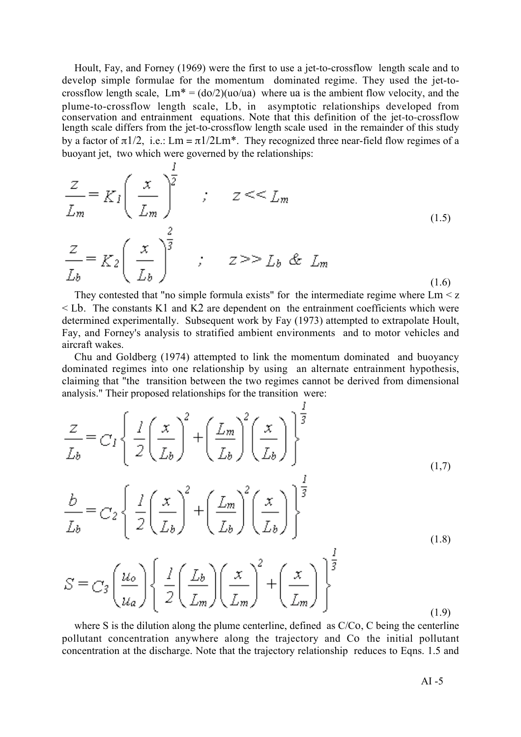Hoult, Fay, and Forney (1969) were the first to use a jet-to-crossflow length scale and to develop simple formulae for the momentum dominated regime. They used the jet-tocrossflow length scale,  $Lm^* = (d\rho/2)(u\rho/u)$  where ua is the ambient flow velocity, and the plume-to-crossflow length scale, Lb, in asymptotic relationships developed from conservation and entrainment equations. Note that this definition of the jet-to-crossflow length scale differs from the jet-to-crossflow length scale used in the remainder of this study by a factor of  $\pi$ 1/2, i.e.: Lm =  $\pi$ 1/2Lm<sup>\*</sup>. They recognized three near-field flow regimes of a buoyant jet, two which were governed by the relationships:

$$
\frac{z}{L_m} = K_I \left(\frac{x}{L_m}\right)^{\frac{1}{2}} \quad ; \quad z \ll L_m
$$
\n
$$
\frac{z}{L_b} = K_2 \left(\frac{x}{L_b}\right)^{\frac{2}{3}} \quad ; \quad z \gg L_b \& L_m
$$
\n
$$
(1.5)
$$
\n
$$
(1.6)
$$

They contested that "no simple formula exists" for the intermediate regime where  $\text{Lm} \leq z$  $\leq$  Lb. The constants K1 and K2 are dependent on the entrainment coefficients which were determined experimentally. Subsequent work by Fay (1973) attempted to extrapolate Hoult, Fay, and Forney's analysis to stratified ambient environments and to motor vehicles and aircraft wakes.

Chu and Goldberg (1974) attempted to link the momentum dominated and buoyancy dominated regimes into one relationship by using an alternate entrainment hypothesis, claiming that "the transition between the two regimes cannot be derived from dimensional analysis." Their proposed relationships for the transition were:

$$
\frac{Z}{L_b} = C_I \left\{ \frac{I}{2} \left( \frac{x}{L_b} \right)^2 + \left( \frac{L_m}{L_b} \right)^2 \left( \frac{x}{L_b} \right) \right\}^{\frac{1}{3}}_{I} \tag{1.7}
$$

$$
\frac{b}{L_b} = C_2 \left\{ \frac{1}{2} \left( \frac{x}{L_b} \right)^2 + \left( \frac{L_m}{L_b} \right)^2 \left( \frac{x}{L_b} \right) \right\}^{\frac{1}{3}}
$$
\n(1.8)

$$
S = C_3 \left(\frac{u_o}{u_a}\right) \left\{\frac{1}{2} \left(\frac{L_b}{L_m}\right) \left(\frac{x}{L_m}\right)^2 + \left(\frac{x}{L_m}\right)^{\frac{1}{3}}\right\} \tag{1.9}
$$

where S is the dilution along the plume centerline, defined as C/Co, C being the centerline pollutant concentration anywhere along the trajectory and Co the initial pollutant concentration at the discharge. Note that the trajectory relationship reduces to Eqns. 1.5 and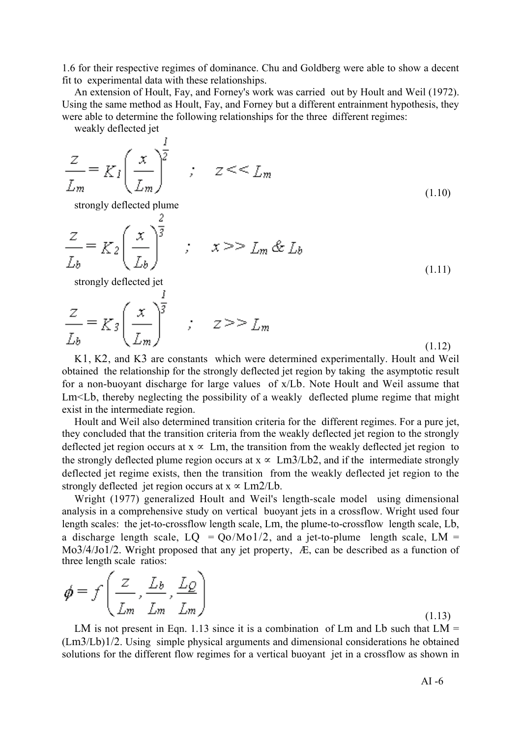1.6 for their respective regimes of dominance. Chu and Goldberg were able to show a decent fit to experimental data with these relationships.

An extension of Hoult, Fay, and Forney's work was carried out by Hoult and Weil (1972). Using the same method as Hoult, Fay, and Forney but a different entrainment hypothesis, they were able to determine the following relationships for the three different regimes:

weakly deflected jet

 $\overline{\phantom{a}}$ 

$$
\frac{z}{L_m} = K_I \left(\frac{x}{L_m}\right)^{\frac{1}{2}} \qquad ; \qquad z \leq L_m \tag{1.10}
$$

strongly deflected plume

$$
\frac{Z}{L_b} = K_2 \left(\frac{x}{L_b}\right)^{\frac{2}{3}} \qquad ; \qquad x >> L_m \& L_b \tag{1.11}
$$

strongly deflected jet

$$
\frac{z}{L_b} = K_3 \left(\frac{x}{L_m}\right)^{\frac{1}{3}} \qquad ; \qquad z >> L_m \tag{1.12}
$$

K1, K2, and K3 are constants which were determined experimentally. Hoult and Weil obtained the relationship for the strongly deflected jet region by taking the asymptotic result for a non-buoyant discharge for large values of x/Lb. Note Hoult and Weil assume that Lm<Lb, thereby neglecting the possibility of a weakly deflected plume regime that might exist in the intermediate region.

Hoult and Weil also determined transition criteria for the different regimes. For a pure jet, they concluded that the transition criteria from the weakly deflected jet region to the strongly deflected jet region occurs at  $x \propto \text{Lm}$ , the transition from the weakly deflected jet region to the strongly deflected plume region occurs at  $x \propto \text{Lm3/Lb2}$ , and if the intermediate strongly deflected jet regime exists, then the transition from the weakly deflected jet region to the strongly deflected jet region occurs at  $x \propto Lm2/Lb$ .

Wright (1977) generalized Hoult and Weil's length-scale model using dimensional analysis in a comprehensive study on vertical buoyant jets in a crossflow. Wright used four length scales: the jet-to-crossflow length scale, Lm, the plume-to-crossflow length scale, Lb, a discharge length scale,  $LQ = Q_0/M_01/2$ , and a jet-to-plume length scale,  $LM =$ Mo3/4/Jo1/2. Wright proposed that any jet property, Æ, can be described as a function of three length scale ratios: Ñ

$$
\phi = f\left(\frac{Z}{L_m}, \frac{L_b}{L_m}, \frac{L_Q}{L_m}\right) \tag{1.13}
$$

LM is not present in Eqn. 1.13 since it is a combination of Lm and Lb such that  $LM =$ (Lm3/Lb)1/2. Using simple physical arguments and dimensional considerations he obtained solutions for the different flow regimes for a vertical buoyant jet in a crossflow as shown in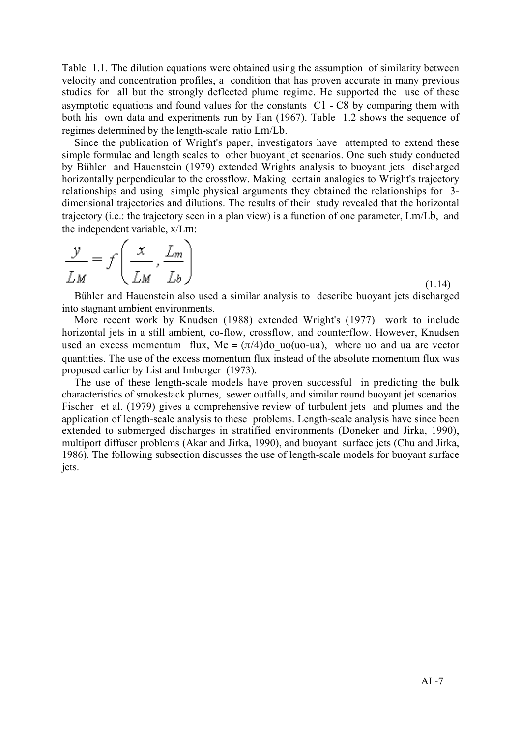Table 1.1. The dilution equations were obtained using the assumption of similarity between velocity and concentration profiles, a condition that has proven accurate in many previous studies for all but the strongly deflected plume regime. He supported the use of these asymptotic equations and found values for the constants C1 - C8 by comparing them with both his own data and experiments run by Fan (1967). Table 1.2 shows the sequence of regimes determined by the length-scale ratio Lm/Lb.

Since the publication of Wright's paper, investigators have attempted to extend these simple formulae and length scales to other buoyant jet scenarios. One such study conducted by Bühler and Hauenstein (1979) extended Wrights analysis to buoyant jets discharged horizontally perpendicular to the crossflow. Making certain analogies to Wright's trajectory relationships and using simple physical arguments they obtained the relationships for 3 dimensional trajectories and dilutions. The results of their study revealed that the horizontal trajectory (i.e.: the trajectory seen in a plan view) is a function of one parameter, Lm/Lb, and the independent variable, x/Lm:

$$
\frac{y}{LM} = f\left(\frac{x}{LM}, \frac{L_m}{L_b}\right)
$$

(1.14)

Bühler and Hauenstein also used a similar analysis to describe buoyant jets discharged into stagnant ambient environments.

More recent work by Knudsen (1988) extended Wright's (1977) work to include horizontal jets in a still ambient, co-flow, crossflow, and counterflow. However, Knudsen used an excess momentum flux, Me =  $(\pi/4)$ do uo(uo-ua), where uo and ua are vector quantities. The use of the excess momentum flux instead of the absolute momentum flux was proposed earlier by List and Imberger (1973).

The use of these length-scale models have proven successful in predicting the bulk characteristics of smokestack plumes, sewer outfalls, and similar round buoyant jet scenarios. Fischer et al. (1979) gives a comprehensive review of turbulent jets and plumes and the application of length-scale analysis to these problems. Length-scale analysis have since been extended to submerged discharges in stratified environments (Doneker and Jirka, 1990), multiport diffuser problems (Akar and Jirka, 1990), and buoyant surface jets (Chu and Jirka, 1986). The following subsection discusses the use of length-scale models for buoyant surface jets.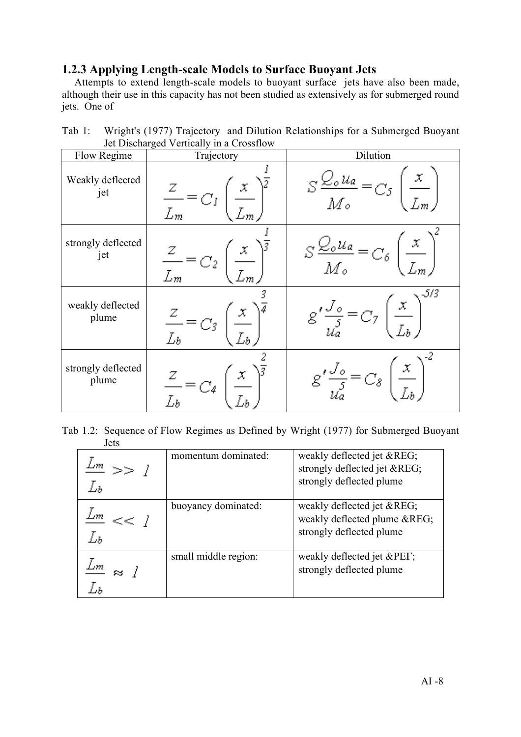### 1.2.3 Applying Length-scale Models to Surface Buoyant Jets

Attempts to extend length-scale models to buoyant surface jets have also been made, although their use in this capacity has not been studied as extensively as for submerged round jets. One of

Tab 1: Wright's (1977) Trajectory and Dilution Relationships for a Submerged Buoyant Jet Discharged Vertically in a Crossflow

| Flow Regime                 | Trajectory | Dilution                                            |
|-----------------------------|------------|-----------------------------------------------------|
| Weakly deflected<br>jet     |            | $\frac{S \frac{Q_o u_a}{M_o}}{M_o}$                 |
| strongly deflected<br>jet   |            | $S\frac{\nabla_{o}u_{a}}{M_{o}}=$<br>$C_{\delta}$ . |
| weakly deflected<br>plume   |            | -5/3<br>$\left(\frac{x}{L_b}\right)$                |
| strongly deflected<br>plume |            |                                                     |

Tab 1.2: Sequence of Flow Regimes as Defined by Wright (1977) for Submerged Buoyant Jets

| ∍m | momentum dominated:  | weakly deflected jet ®<br>strongly deflected jet ®<br>strongly deflected plume |
|----|----------------------|--------------------------------------------------------------------------------|
| LЪ | buoyancy dominated:  | weakly deflected jet ®<br>weakly deflected plume ®<br>strongly deflected plume |
|    | small middle region: | weakly deflected jet &PET<br>strongly deflected plume                          |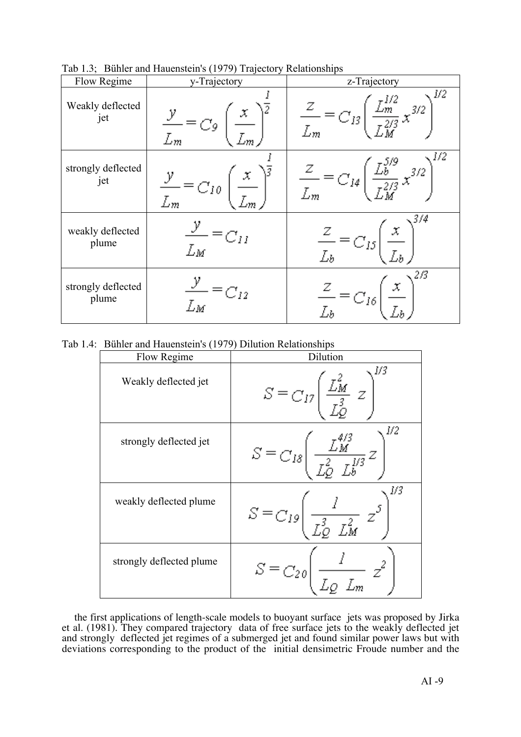| Flow Regime                 | y-Trajectory             | z-Trajectory                                                                       |
|-----------------------------|--------------------------|------------------------------------------------------------------------------------|
| Weakly deflected<br>jet     | C9.                      | 1/2<br>$\frac{Z}{L_m} = C_{I3}$<br>$\frac{\sum_{m}^{2}}{2\pi} \frac{3}{2}$         |
| strongly deflected<br>jet   | $\frac{y}{L_m} = C_{10}$ | 1/2<br>$\frac{Z}{L_m} = C_{14} \left( \frac{L_b^{3/2}}{L_M^{2/3}} x^{3/2} \right)$ |
| weakly deflected<br>plume   | $=$ $C_{II}$<br>Lм       | $\sqrt{3/4}$<br>$\frac{z}{L_b} = C_{I5}$                                           |
| strongly deflected<br>plume | $\binom{2}{12}$<br>Lм    | , 2/3<br>$\frac{2}{\tau_{\star}} = C_{16}$                                         |

Tab 1.3; Bühler and Hauenstein's (1979) Trajectory Relationships

Tab 1.4: Bühler and Hauenstein's (1979) Dilution Relationships

| Flow Regime              | Dilution                                                                                                       |
|--------------------------|----------------------------------------------------------------------------------------------------------------|
| Weakly deflected jet     | V3<br>$\frac{\mathcal{L}_M^2}{\tau^3}$<br>$S = C_{17}$                                                         |
| strongly deflected jet   | 1/2<br>$S\equiv_{C_{I\mathcal{S}}}\Big $<br>$\frac{\angle \widetilde{M}}{\tau_{\mathcal{D}}^2 - \tau^{1/3}} Z$ |
| weakly deflected plume   | 1/3<br>$S = C_{19} \left( \frac{l}{r_{0}^{3} - r_{M}^{2}} z^{5} \right)$                                       |
| strongly deflected plume | $S = C_{20}$<br>$\frac{1}{r}$ $\frac{1}{r}$                                                                    |

the first applications of length-scale models to buoyant surface jets was proposed by Jirka et al. (1981). They compared trajectory data of free surface jets to the weakly deflected jet and strongly deflected jet regimes of a submerged jet and found similar power laws but with deviations corresponding to the product of the initial densimetric Froude number and the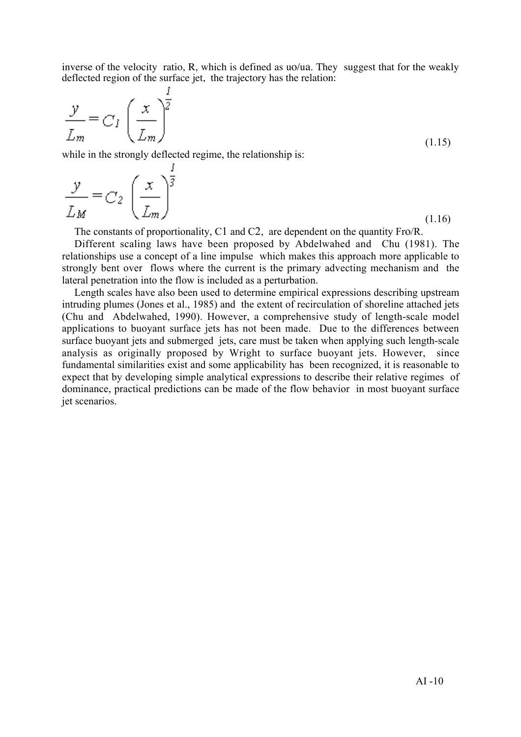inverse of the velocity ratio, R, which is defined as  $\mu$ <sup>2</sup>uqua. They suggest that for the weakly deflected region of the surface jet, the trajectory has the relation:

$$
\frac{y}{L_m} = C_I \left(\frac{x}{L_m}\right)^{\frac{1}{2}}
$$
\n(1.15)

while in the strongly deflected regime, the relationship is:

| $\frac{y}{L_M} = C_2 \left(\frac{x}{L_m}\right)^{\frac{1}{3}}$ |        |
|----------------------------------------------------------------|--------|
|                                                                |        |
|                                                                | (1.16) |

The constants of proportionality, C1 and C2, are dependent on the quantity Fro/R.

Different scaling laws have been proposed by Abdelwahed and Chu (1981). The relationships use a concept of a line impulse which makes this approach more applicable to strongly bent over flows where the current is the primary advecting mechanism and the lateral penetration into the flow is included as a perturbation.

Length scales have also been used to determine empirical expressions describing upstream intruding plumes (Jones et al., 1985) and the extent of recirculation of shoreline attached jets (Chu and Abdelwahed, 1990). However, a comprehensive study of length-scale model applications to buoyant surface jets has not been made. Due to the differences between surface buoyant jets and submerged jets, care must be taken when applying such length-scale analysis as originally proposed by Wright to surface buoyant jets. However, since fundamental similarities exist and some applicability has been recognized, it is reasonable to expect that by developing simple analytical expressions to describe their relative regimes of dominance, practical predictions can be made of the flow behavior in most buoyant surface jet scenarios.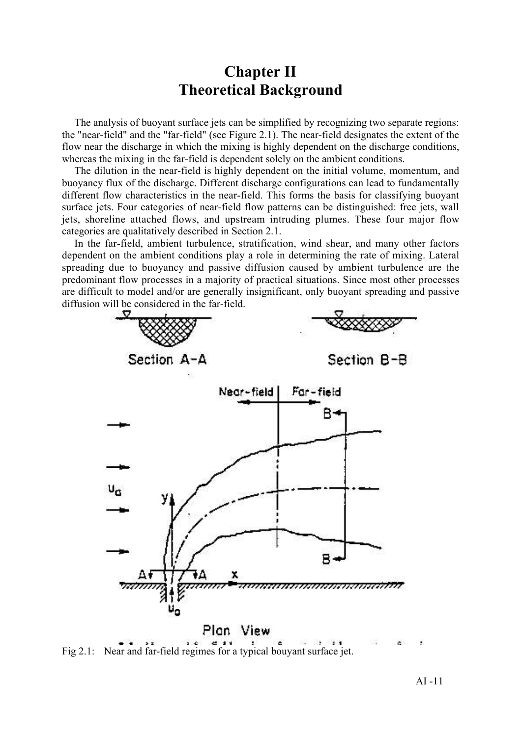# Chapter II Theoretical Background

The analysis of buoyant surface jets can be simplified by recognizing two separate regions: the "near-field" and the "far-field" (see Figure 2.1). The near-field designates the extent of the flow near the discharge in which the mixing is highly dependent on the discharge conditions, whereas the mixing in the far-field is dependent solely on the ambient conditions.

The dilution in the near-field is highly dependent on the initial volume, momentum, and buoyancy flux of the discharge. Different discharge configurations can lead to fundamentally different flow characteristics in the near-field. This forms the basis for classifying buoyant surface jets. Four categories of near-field flow patterns can be distinguished: free jets, wall jets, shoreline attached flows, and upstream intruding plumes. These four major flow categories are qualitatively described in Section 2.1.

In the far-field, ambient turbulence, stratification, wind shear, and many other factors dependent on the ambient conditions play a role in determining the rate of mixing. Lateral spreading due to buoyancy and passive diffusion caused by ambient turbulence are the predominant flow processes in a majority of practical situations. Since most other processes are difficult to model and/or are generally insignificant, only buoyant spreading and passive diffusion will be considered in the far-field.



Fig 2.1: Near and far-field regimes for a typical bouyant surface jet.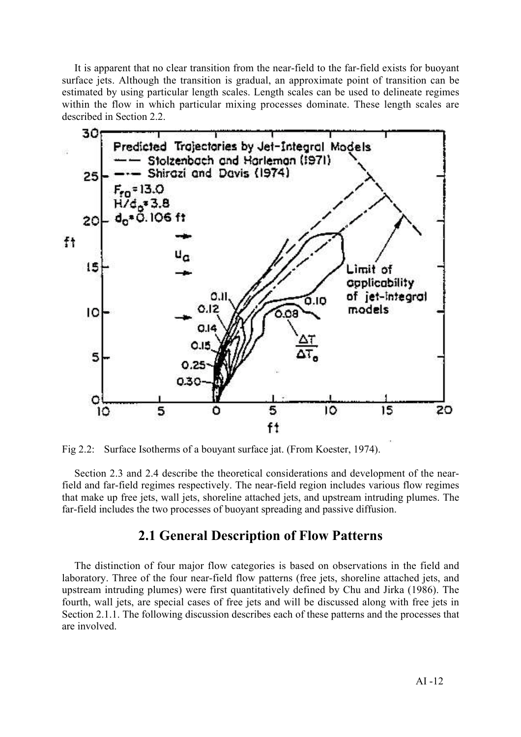It is apparent that no clear transition from the near-field to the far-field exists for buoyant surface jets. Although the transition is gradual, an approximate point of transition can be estimated by using particular length scales. Length scales can be used to delineate regimes within the flow in which particular mixing processes dominate. These length scales are described in Section 2.2.



Fig 2.2: Surface Isotherms of a bouyant surface jat. (From Koester, 1974).

Section 2.3 and 2.4 describe the theoretical considerations and development of the nearfield and far-field regimes respectively. The near-field region includes various flow regimes that make up free jets, wall jets, shoreline attached jets, and upstream intruding plumes. The far-field includes the two processes of buoyant spreading and passive diffusion.

### 2.1 General Description of Flow Patterns

The distinction of four major flow categories is based on observations in the field and laboratory. Three of the four near-field flow patterns (free jets, shoreline attached jets, and upstream intruding plumes) were first quantitatively defined by Chu and Jirka (1986). The fourth, wall jets, are special cases of free jets and will be discussed along with free jets in Section 2.1.1. The following discussion describes each of these patterns and the processes that are involved.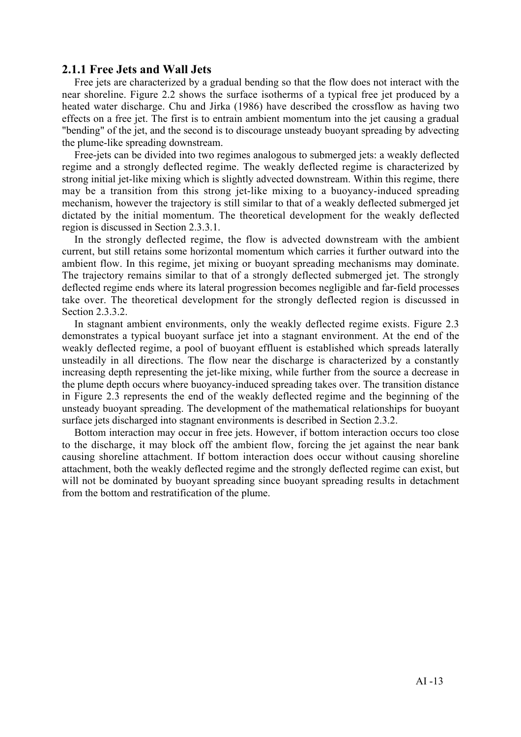### 2.1.1 Free Jets and Wall Jets

Free jets are characterized by a gradual bending so that the flow does not interact with the near shoreline. Figure 2.2 shows the surface isotherms of a typical free jet produced by a heated water discharge. Chu and Jirka (1986) have described the crossflow as having two effects on a free jet. The first is to entrain ambient momentum into the jet causing a gradual "bending" of the jet, and the second is to discourage unsteady buoyant spreading by advecting the plume-like spreading downstream.

Free-jets can be divided into two regimes analogous to submerged jets: a weakly deflected regime and a strongly deflected regime. The weakly deflected regime is characterized by strong initial jet-like mixing which is slightly advected downstream. Within this regime, there may be a transition from this strong jet-like mixing to a buoyancy-induced spreading mechanism, however the trajectory is still similar to that of a weakly deflected submerged jet dictated by the initial momentum. The theoretical development for the weakly deflected region is discussed in Section 2.3.3.1.

In the strongly deflected regime, the flow is advected downstream with the ambient current, but still retains some horizontal momentum which carries it further outward into the ambient flow. In this regime, jet mixing or buoyant spreading mechanisms may dominate. The trajectory remains similar to that of a strongly deflected submerged jet. The strongly deflected regime ends where its lateral progression becomes negligible and far-field processes take over. The theoretical development for the strongly deflected region is discussed in Section 2.3.3.2.

In stagnant ambient environments, only the weakly deflected regime exists. Figure 2.3 demonstrates a typical buoyant surface jet into a stagnant environment. At the end of the weakly deflected regime, a pool of buoyant effluent is established which spreads laterally unsteadily in all directions. The flow near the discharge is characterized by a constantly increasing depth representing the jet-like mixing, while further from the source a decrease in the plume depth occurs where buoyancy-induced spreading takes over. The transition distance in Figure 2.3 represents the end of the weakly deflected regime and the beginning of the unsteady buoyant spreading. The development of the mathematical relationships for buoyant surface jets discharged into stagnant environments is described in Section 2.3.2.

Bottom interaction may occur in free jets. However, if bottom interaction occurs too close to the discharge, it may block off the ambient flow, forcing the jet against the near bank causing shoreline attachment. If bottom interaction does occur without causing shoreline attachment, both the weakly deflected regime and the strongly deflected regime can exist, but will not be dominated by buoyant spreading since buoyant spreading results in detachment from the bottom and restratification of the plume.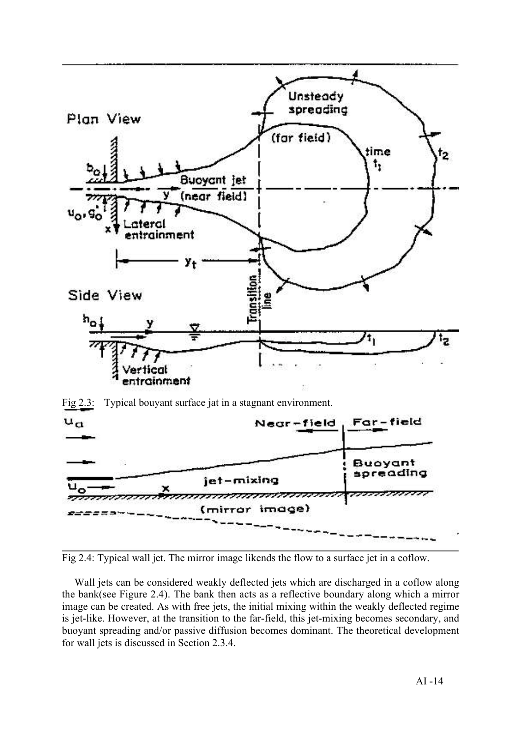



Wall jets can be considered weakly deflected jets which are discharged in a coflow along the bank(see Figure 2.4). The bank then acts as a reflective boundary along which a mirror image can be created. As with free jets, the initial mixing within the weakly deflected regime is jet-like. However, at the transition to the far-field, this jet-mixing becomes secondary, and buoyant spreading and/or passive diffusion becomes dominant. The theoretical development for wall jets is discussed in Section 2.3.4.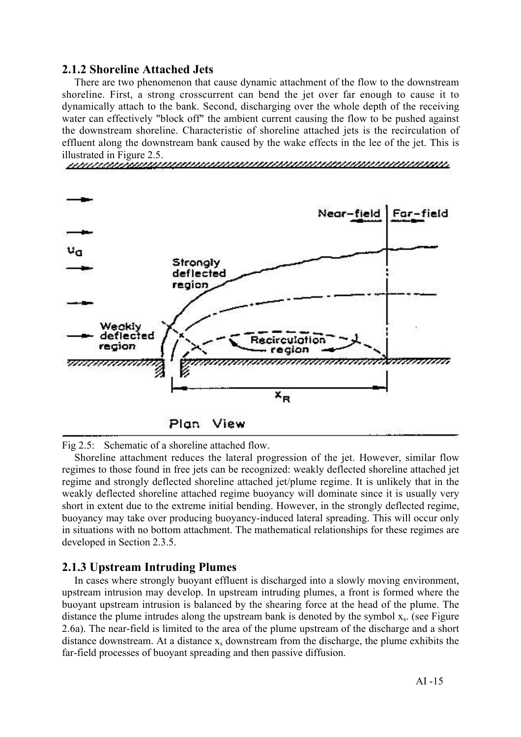### 2.1.2 Shoreline Attached Jets

There are two phenomenon that cause dynamic attachment of the flow to the downstream shoreline. First, a strong crosscurrent can bend the jet over far enough to cause it to dynamically attach to the bank. Second, discharging over the whole depth of the receiving water can effectively "block off" the ambient current causing the flow to be pushed against the downstream shoreline. Characteristic of shoreline attached jets is the recirculation of effluent along the downstream bank caused by the wake effects in the lee of the jet. This is illustrated in Figure 2.5.



Fig 2.5: Schematic of a shoreline attached flow.

Shoreline attachment reduces the lateral progression of the jet. However, similar flow regimes to those found in free jets can be recognized: weakly deflected shoreline attached jet regime and strongly deflected shoreline attached jet/plume regime. It is unlikely that in the weakly deflected shoreline attached regime buoyancy will dominate since it is usually very short in extent due to the extreme initial bending. However, in the strongly deflected regime, buoyancy may take over producing buoyancy-induced lateral spreading. This will occur only in situations with no bottom attachment. The mathematical relationships for these regimes are developed in Section 2.3.5.

### 2.1.3 Upstream Intruding Plumes

In cases where strongly buoyant effluent is discharged into a slowly moving environment, upstream intrusion may develop. In upstream intruding plumes, a front is formed where the buoyant upstream intrusion is balanced by the shearing force at the head of the plume. The distance the plume intrudes along the upstream bank is denoted by the symbol  $x_s$ . (see Figure 2.6a). The near-field is limited to the area of the plume upstream of the discharge and a short distance downstream. At a distance  $x_s$  downstream from the discharge, the plume exhibits the far-field processes of buoyant spreading and then passive diffusion.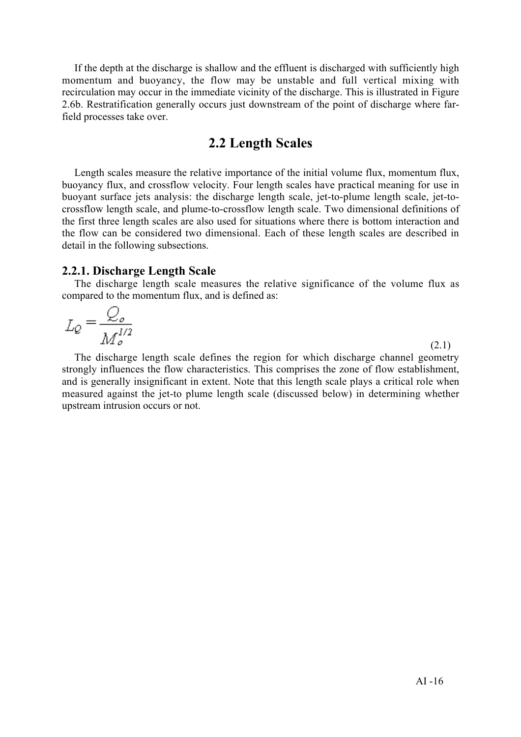If the depth at the discharge is shallow and the effluent is discharged with sufficiently high momentum and buoyancy, the flow may be unstable and full vertical mixing with recirculation may occur in the immediate vicinity of the discharge. This is illustrated in Figure 2.6b. Restratification generally occurs just downstream of the point of discharge where farfield processes take over.

### 2.2 Length Scales

Length scales measure the relative importance of the initial volume flux, momentum flux, buoyancy flux, and crossflow velocity. Four length scales have practical meaning for use in buoyant surface jets analysis: the discharge length scale, jet-to-plume length scale, jet-tocrossflow length scale, and plume-to-crossflow length scale. Two dimensional definitions of the first three length scales are also used for situations where there is bottom interaction and the flow can be considered two dimensional. Each of these length scales are described in detail in the following subsections.

### 2.2.1. Discharge Length Scale

The discharge length scale measures the relative significance of the volume flux as compared to the momentum flux, and is defined as:

$$
L_Q = \frac{Q_o}{M_o^{1/2}}
$$
 (2.1)

The discharge length scale defines the region for which discharge channel geometry strongly influences the flow characteristics. This comprises the zone of flow establishment, and is generally insignificant in extent. Note that this length scale plays a critical role when measured against the jet-to plume length scale (discussed below) in determining whether upstream intrusion occurs or not.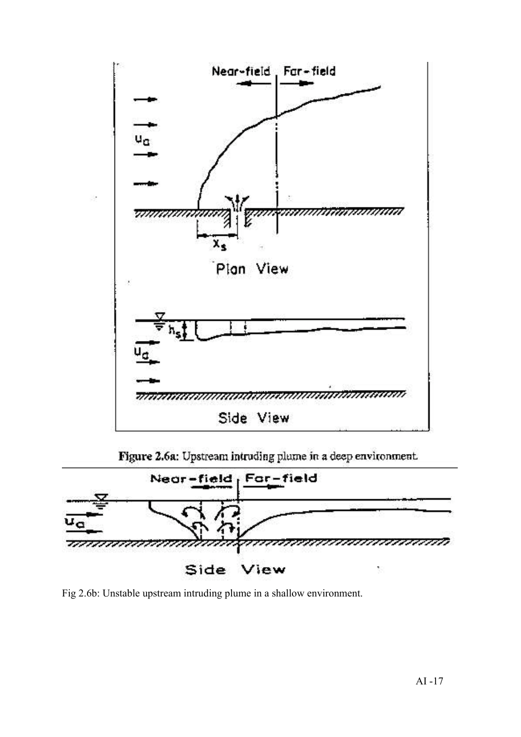

Figure 2.6a: Upstream intruding plume in a deep environment.



Fig 2.6b: Unstable upstream intruding plume in a shallow environment.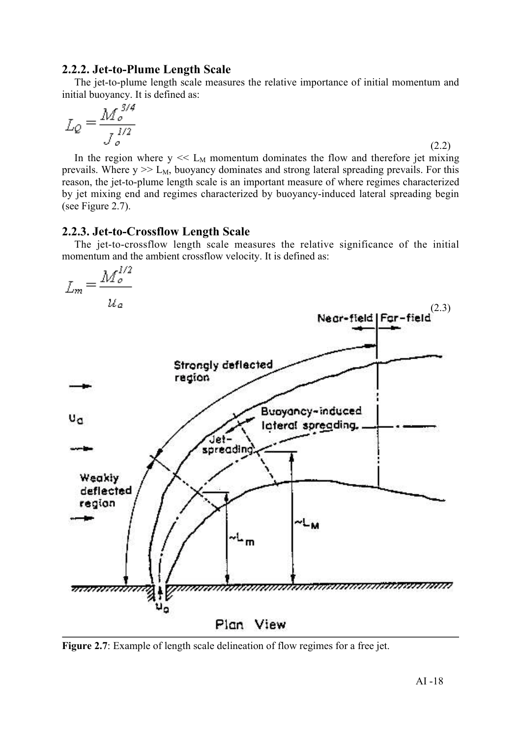### 2.2.2. Jet-to-Plume Length Scale

The jet-to-plume length scale measures the relative importance of initial momentum and initial buoyancy. It is defined as:

$$
L_Q = \frac{M_o^{3/4}}{J_o^{1/2}}
$$

In the region where  $y \ll L_M$  momentum dominates the flow and therefore jet mixing prevails. Where  $y \gg L_M$ , buoyancy dominates and strong lateral spreading prevails. For this reason, the jet-to-plume length scale is an important measure of where regimes characterized by jet mixing end and regimes characterized by buoyancy-induced lateral spreading begin (see Figure 2.7).

### 2.2.3. Jet-to-Crossflow Length Scale

The jet-to-crossflow length scale measures the relative significance of the initial momentum and the ambient crossflow velocity. It is defined as:



Figure 2.7: Example of length scale delineation of flow regimes for a free jet.

(2.2)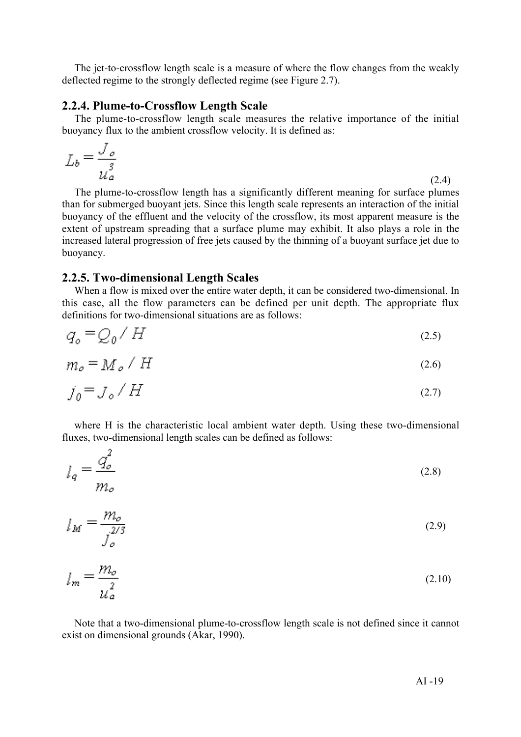The jet-to-crossflow length scale is a measure of where the flow changes from the weakly deflected regime to the strongly deflected regime (see Figure 2.7).

### 2.2.4. Plume-to-Crossflow Length Scale

The plume-to-crossflow length scale measures the relative importance of the initial buoyancy flux to the ambient crossflow velocity. It is defined as:

$$
L_b = \frac{J_o}{\mu_a^3} \tag{2.4}
$$

The plume-to-crossflow length has a significantly different meaning for surface plumes than for submerged buoyant jets. Since this length scale represents an interaction of the initial buoyancy of the effluent and the velocity of the crossflow, its most apparent measure is the extent of upstream spreading that a surface plume may exhibit. It also plays a role in the increased lateral progression of free jets caused by the thinning of a buoyant surface jet due to buoyancy.

### 2.2.5. Two-dimensional Length Scales

 $\sim$ 

When a flow is mixed over the entire water depth, it can be considered two-dimensional. In this case, all the flow parameters can be defined per unit depth. The appropriate flux definitions for two-dimensional situations are as follows:

$$
q_o = Q_0 / H \tag{2.5}
$$

$$
m_{\rho} = M_{\rho} / H \tag{2.6}
$$

$$
j_{\mathbf{0}} = \mathcal{J}_{\mathbf{0}} / H \tag{2.7}
$$

where H is the characteristic local ambient water depth. Using these two-dimensional fluxes, two-dimensional length scales can be defined as follows:

$$
l_q = \frac{q_o^2}{m_o} \tag{2.8}
$$

$$
l_M = \frac{m_o}{j_o^{2/3}}
$$
 (2.9)

$$
l_m = \frac{m_o}{\mu_a^2} \tag{2.10}
$$

Note that a two-dimensional plume-to-crossflow length scale is not defined since it cannot exist on dimensional grounds (Akar, 1990).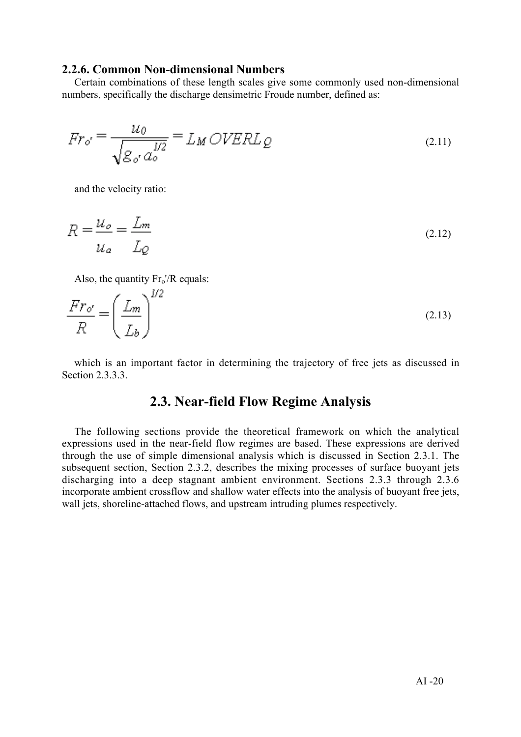### 2.2.6. Common Non-dimensional Numbers

Certain combinations of these length scales give some commonly used non-dimensional numbers, specifically the discharge densimetric Froude number, defined as:

$$
Fr_{o'} = \frac{u_0}{\sqrt{g_{o'} a_o^{1/2}}} = L_M OVERL_Q \tag{2.11}
$$

and the velocity ratio:

$$
R = \frac{u_o}{u_a} = \frac{L_m}{L_Q} \tag{2.12}
$$

Also, the quantity  $Fr_0'/R$  equals:

$$
\frac{Fr_{o'}}{R} = \left(\frac{L_m}{L_b}\right)^{1/2} \tag{2.13}
$$

which is an important factor in determining the trajectory of free jets as discussed in Section 2.3.3.3.

### 2.3. Near-field Flow Regime Analysis

The following sections provide the theoretical framework on which the analytical expressions used in the near-field flow regimes are based. These expressions are derived through the use of simple dimensional analysis which is discussed in Section 2.3.1. The subsequent section, Section 2.3.2, describes the mixing processes of surface buoyant jets discharging into a deep stagnant ambient environment. Sections 2.3.3 through 2.3.6 incorporate ambient crossflow and shallow water effects into the analysis of buoyant free jets, wall jets, shoreline-attached flows, and upstream intruding plumes respectively.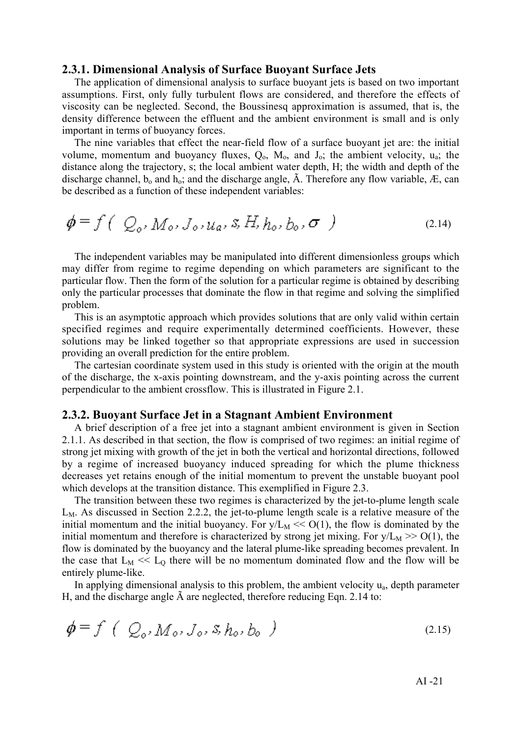#### 2.3.1. Dimensional Analysis of Surface Buoyant Surface Jets

The application of dimensional analysis to surface buoyant jets is based on two important assumptions. First, only fully turbulent flows are considered, and therefore the effects of viscosity can be neglected. Second, the Boussinesq approximation is assumed, that is, the density difference between the effluent and the ambient environment is small and is only important in terms of buoyancy forces.

The nine variables that effect the near-field flow of a surface buoyant jet are: the initial volume, momentum and buoyancy fluxes,  $Q_0$ ,  $M_0$ , and  $J_0$ ; the ambient velocity,  $u_a$ ; the distance along the trajectory, s; the local ambient water depth, H; the width and depth of the discharge channel,  $b_0$  and  $h_0$ ; and the discharge angle,  $\tilde{A}$ . Therefore any flow variable,  $\tilde{E}$ , can be described as a function of these independent variables:

$$
\phi = f\left( Q_o, M_o, J_o, u_a, s, H, h_o, b_o, \sigma \right) \tag{2.14}
$$

The independent variables may be manipulated into different dimensionless groups which may differ from regime to regime depending on which parameters are significant to the particular flow. Then the form of the solution for a particular regime is obtained by describing only the particular processes that dominate the flow in that regime and solving the simplified problem.

This is an asymptotic approach which provides solutions that are only valid within certain specified regimes and require experimentally determined coefficients. However, these solutions may be linked together so that appropriate expressions are used in succession providing an overall prediction for the entire problem.

The cartesian coordinate system used in this study is oriented with the origin at the mouth of the discharge, the x-axis pointing downstream, and the y-axis pointing across the current perpendicular to the ambient crossflow. This is illustrated in Figure 2.1.

#### 2.3.2. Buoyant Surface Jet in a Stagnant Ambient Environment

A brief description of a free jet into a stagnant ambient environment is given in Section 2.1.1. As described in that section, the flow is comprised of two regimes: an initial regime of strong jet mixing with growth of the jet in both the vertical and horizontal directions, followed by a regime of increased buoyancy induced spreading for which the plume thickness decreases yet retains enough of the initial momentum to prevent the unstable buoyant pool which develops at the transition distance. This exemplified in Figure 2.3.

The transition between these two regimes is characterized by the jet-to-plume length scale  $L<sub>M</sub>$ . As discussed in Section 2.2.2, the jet-to-plume length scale is a relative measure of the initial momentum and the initial buoyancy. For  $y/L_M \ll O(1)$ , the flow is dominated by the initial momentum and therefore is characterized by strong jet mixing. For  $y/L_M \gg O(1)$ , the flow is dominated by the buoyancy and the lateral plume-like spreading becomes prevalent. In the case that  $L_M \ll L_0$  there will be no momentum dominated flow and the flow will be entirely plume-like.

In applying dimensional analysis to this problem, the ambient velocity  $u_a$ , depth parameter H, and the discharge angle à are neglected, therefore reducing Eqn. 2.14 to:

$$
\phi = f \left( Q_o, M_o, J_o, s, h_o, b_o \right) \tag{2.15}
$$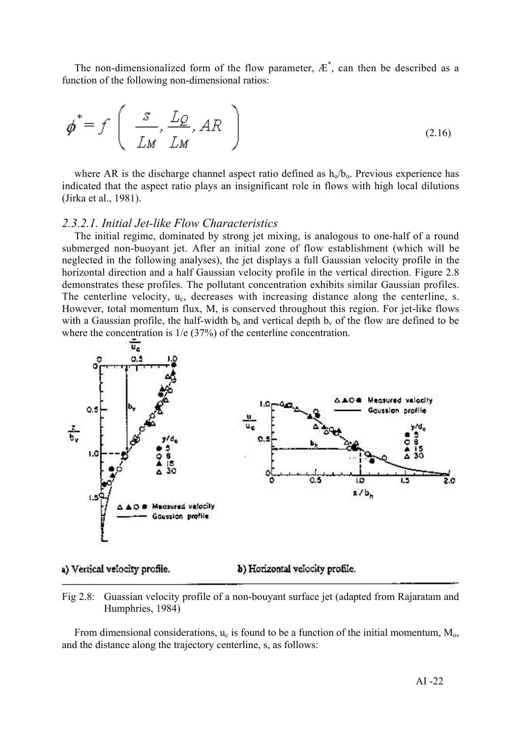The non-dimensionalized form of the flow parameter,  $E^*$ , can then be described as a function of the following non-dimensional ratios:

$$
\boldsymbol{\phi}^* = f\left(\begin{array}{c} \frac{S}{LM}, \frac{LQ}{LM}, AR \end{array}\right) \tag{2.16}
$$

where AR is the discharge channel aspect ratio defined as  $h_0/b_0$ . Previous experience has indicated that the aspect ratio plays an insignificant role in flows with high local dilutions (Jirka et al., 1981).

### *2.3.2.1. Initial Jet-like Flow Characteristics*

The initial regime, dominated by strong jet mixing, is analogous to one-half of a round submerged non-buoyant jet. After an initial zone of flow establishment (which will be neglected in the following analyses), the jet displays a full Gaussian velocity profile in the horizontal direction and a half Gaussian velocity profile in the vertical direction. Figure 2.8 demonstrates these profiles. The pollutant concentration exhibits similar Gaussian profiles. The centerline velocity,  $u_c$ , decreases with increasing distance along the centerline, s. However, total momentum flux, M, is conserved throughout this region. For jet-like flows with a Gaussian profile, the half-width  $b<sub>h</sub>$  and vertical depth  $b<sub>v</sub>$  of the flow are defined to be where the concentration is  $1/e$  (37%) of the centerline concentration.



a) Vertical velocity profile.

b) Horizontal velocity profile.

Fig 2.8: Guassian velocity profile of a non-bouyant surface jet (adapted from Rajaratam and Humphries, 1984)

From dimensional considerations,  $u_c$  is found to be a function of the initial momentum,  $M_0$ , and the distance along the trajectory centerline, s, as follows: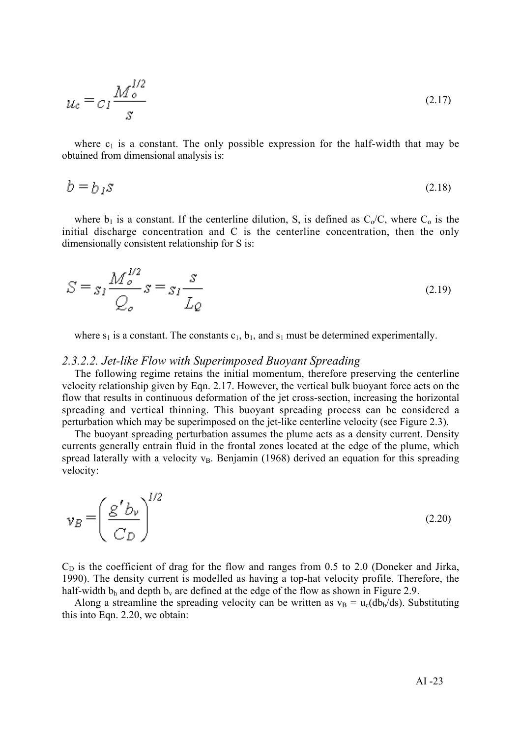$$
u_c = c_I \frac{M_o^{1/2}}{s} \tag{2.17}
$$

where  $c_1$  is a constant. The only possible expression for the half-width that may be obtained from dimensional analysis is:

$$
b = b_1 s \tag{2.18}
$$

where  $b_1$  is a constant. If the centerline dilution, S, is defined as  $C_0/C$ , where  $C_0$  is the initial discharge concentration and C is the centerline concentration, then the only dimensionally consistent relationship for S is:

$$
S = s_I \frac{M_o^{1/2}}{Q_o} s = s_I \frac{s}{L_Q}
$$
\n(2.19)

where  $s_1$  is a constant. The constants  $c_1$ ,  $b_1$ , and  $s_1$  must be determined experimentally.

#### *2.3.2.2. Jet-like Flow with Superimposed Buoyant Spreading*

The following regime retains the initial momentum, therefore preserving the centerline velocity relationship given by Eqn. 2.17. However, the vertical bulk buoyant force acts on the flow that results in continuous deformation of the jet cross-section, increasing the horizontal spreading and vertical thinning. This buoyant spreading process can be considered a perturbation which may be superimposed on the jet-like centerline velocity (see Figure 2.3).

The buoyant spreading perturbation assumes the plume acts as a density current. Density currents generally entrain fluid in the frontal zones located at the edge of the plume, which spread laterally with a velocity  $v_B$ . Benjamin (1968) derived an equation for this spreading velocity:

$$
\mathbf{v}_B = \left(\frac{g' b_v}{C_D}\right)^{1/2} \tag{2.20}
$$

 $C_D$  is the coefficient of drag for the flow and ranges from 0.5 to 2.0 (Doneker and Jirka, 1990). The density current is modelled as having a top-hat velocity profile. Therefore, the half-width  $b_h$  and depth  $b_v$  are defined at the edge of the flow as shown in Figure 2.9.

Along a streamline the spreading velocity can be written as  $v_B = u_c(db_h/ds)$ . Substituting this into Eqn. 2.20, we obtain: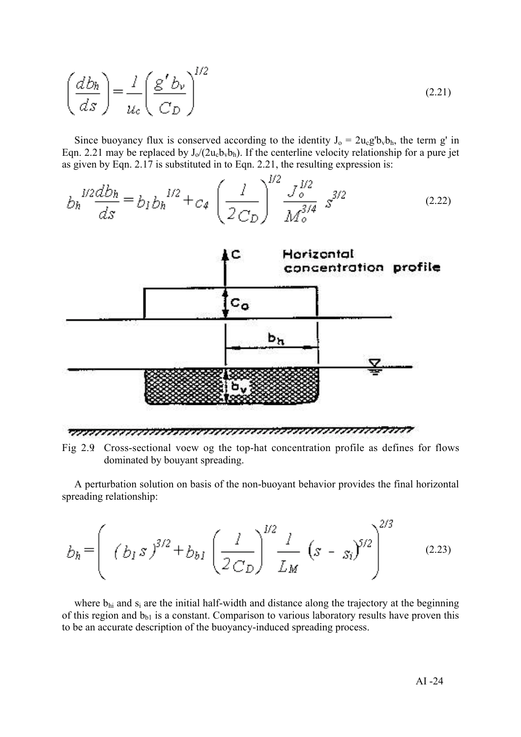$$
\left(\frac{db_h}{ds}\right) = \frac{l}{u_c} \left(\frac{g' b_v}{C_D}\right)^{1/2} \tag{2.21}
$$

Since buoyancy flux is conserved according to the identity  $J_0 = 2u_c g' b_v b_h$ , the term g' in Eqn. 2.21 may be replaced by  $J_0/(2u_c b_v b_h)$ . If the centerline velocity relationship for a pure jet as given by Eqn. 2.17 is substituted in to Eqn. 2.21, the resulting expression is:

$$
b_h^{1/2} \frac{db_h}{ds} = b_I b_h^{1/2} + c_4 \left(\frac{l}{2C_D}\right)^{1/2} \frac{J_o^{1/2}}{M_o^{3/4}} s^{3/2}
$$
 (2.22)



Fig 2.9: Cross-sectional voew og the top-hat concentration profile as defines for flows dominated by bouyant spreading.

A perturbation solution on basis of the non-buoyant behavior provides the final horizontal spreading relationship:

$$
b_h = \left( (b_1 s)^{3/2} + b_{b1} \left( \frac{l}{2 C_D} \right)^{1/2} \frac{l}{L_M} (s - s_i)^{5/2} \right)^{2/3}
$$
 (2.23)

where  $b_{hi}$  and  $s_i$  are the initial half-width and distance along the trajectory at the beginning of this region and  $b_{b1}$  is a constant. Comparison to various laboratory results have proven this to be an accurate description of the buoyancy-induced spreading process.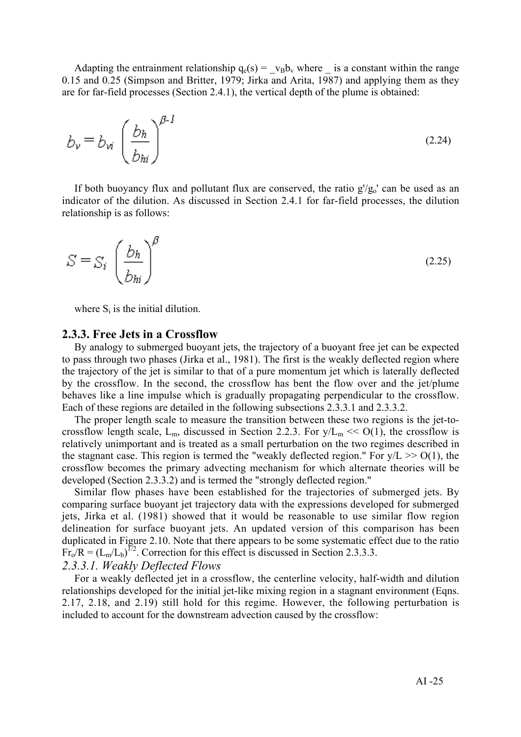Adapting the entrainment relationship  $q_e(s) = v_B b_v$  where  $\overline{\phantom{a}}$  is a constant within the range 0.15 and 0.25 (Simpson and Britter, 1979; Jirka and Arita, 1987) and applying them as they are for far-field processes (Section 2.4.1), the vertical depth of the plume is obtained:

$$
b_{\nu} = b_{\nu i} \left(\frac{b_h}{b_{hi}}\right)^{\beta - 1}
$$
 (2.24)

If both buoyancy flux and pollutant flux are conserved, the ratio  $g/g_0'$  can be used as an indicator of the dilution. As discussed in Section 2.4.1 for far-field processes, the dilution relationship is as follows:

$$
S = S_i \left(\frac{b_h}{b_{hi}}\right)^{\beta} \tag{2.25}
$$

where  $S_i$  is the initial dilution.

#### 2.3.3. Free Jets in a Crossflow

By analogy to submerged buoyant jets, the trajectory of a buoyant free jet can be expected to pass through two phases (Jirka et al., 1981). The first is the weakly deflected region where the trajectory of the jet is similar to that of a pure momentum jet which is laterally deflected by the crossflow. In the second, the crossflow has bent the flow over and the jet/plume behaves like a line impulse which is gradually propagating perpendicular to the crossflow. Each of these regions are detailed in the following subsections 2.3.3.1 and 2.3.3.2.

The proper length scale to measure the transition between these two regions is the jet-tocrossflow length scale,  $L_m$ , discussed in Section 2.2.3. For  $y/L_m \ll O(1)$ , the crossflow is relatively unimportant and is treated as a small perturbation on the two regimes described in the stagnant case. This region is termed the "weakly deflected region." For  $y/L \gg O(1)$ , the crossflow becomes the primary advecting mechanism for which alternate theories will be developed (Section 2.3.3.2) and is termed the "strongly deflected region."

Similar flow phases have been established for the trajectories of submerged jets. By comparing surface buoyant jet trajectory data with the expressions developed for submerged jets, Jirka et al. (1981) showed that it would be reasonable to use similar flow region delineation for surface buoyant jets. An updated version of this comparison has been duplicated in Figure 2.10. Note that there appears to be some systematic effect due to the ratio  $Fr_0/R = (L_m/L_b)^{1/2}$ . Correction for this effect is discussed in Section 2.3.3.3.

### *2.3.3.1. Weakly Deflected Flows*

For a weakly deflected jet in a crossflow, the centerline velocity, half-width and dilution relationships developed for the initial jet-like mixing region in a stagnant environment (Eqns. 2.17, 2.18, and 2.19) still hold for this regime. However, the following perturbation is included to account for the downstream advection caused by the crossflow: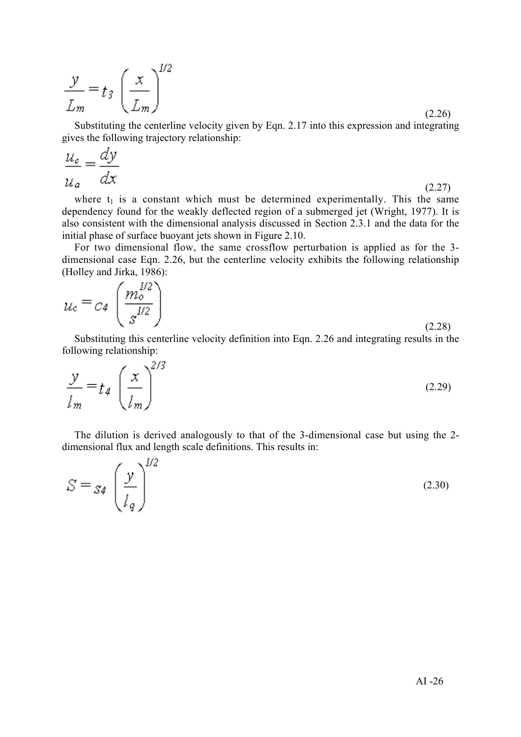$$
\frac{y}{L_m} = t_3 \left(\frac{x}{L_m}\right)^{1/2} \tag{2.26}
$$

Substituting the centerline velocity given by Eqn. 2.17 into this expression and integrating gives the following trajectory relationship:

$$
\frac{u_c}{u_a} = \frac{dy}{dx}
$$
 (2.27)

where  $t_1$  is a constant which must be determined experimentally. This the same dependency found for the weakly deflected region of a submerged jet (Wright, 1977). It is also consistent with the dimensional analysis discussed in Section 2.3.1 and the data for the initial phase of surface buoyant jets shown in Figure 2.10.

For two dimensional flow, the same crossflow perturbation is applied as for the 3 dimensional case Eqn. 2.26, but the centerline velocity exhibits the following relationship (Holley and Jirka, 1986):

$$
u_c = c_4 \left(\frac{m_o^{1/2}}{s^{1/2}}\right) \tag{2.28}
$$

Substituting this centerline velocity definition into Eqn. 2.26 and integrating results in the following relationship:

$$
\frac{y}{l_m} = t_4 \left(\frac{x}{l_m}\right)^{2/3} \tag{2.29}
$$

The dilution is derived analogously to that of the 3-dimensional case but using the 2 dimensional flux and length scale definitions. This results in:

$$
S = S_4 \left(\frac{y}{l_q}\right)^{1/2} \tag{2.30}
$$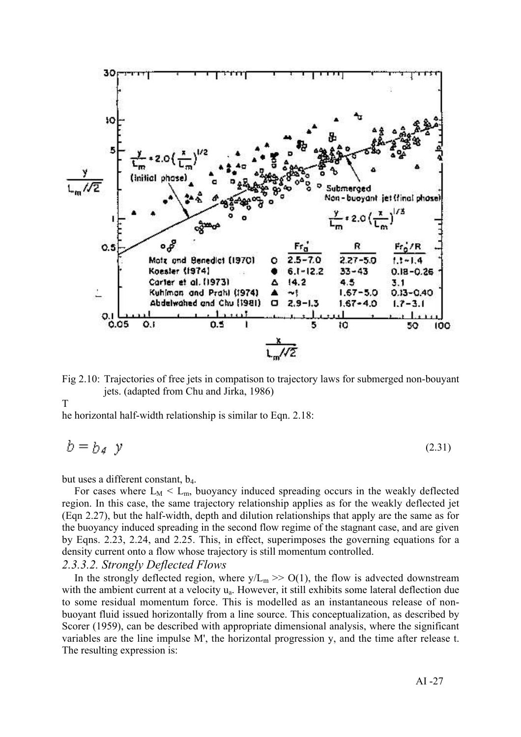

Fig 2.10: Trajectories of free jets in compatison to trajectory laws for submerged non-bouyant jets. (adapted from Chu and Jirka, 1986)

T

he horizontal half-width relationship is similar to Eqn. 2.18:

$$
b = b_A \ y \tag{2.31}
$$

but uses a different constant, b4.

For cases where  $L_M < L_m$ , buoyancy induced spreading occurs in the weakly deflected region. In this case, the same trajectory relationship applies as for the weakly deflected jet (Eqn 2.27), but the half-width, depth and dilution relationships that apply are the same as for the buoyancy induced spreading in the second flow regime of the stagnant case, and are given by Eqns. 2.23, 2.24, and 2.25. This, in effect, superimposes the governing equations for a density current onto a flow whose trajectory is still momentum controlled.

### *2.3.3.2. Strongly Deflected Flows*

In the strongly deflected region, where  $y/L_m \gg O(1)$ , the flow is advected downstream with the ambient current at a velocity u<sub>a</sub>. However, it still exhibits some lateral deflection due to some residual momentum force. This is modelled as an instantaneous release of nonbuoyant fluid issued horizontally from a line source. This conceptualization, as described by Scorer (1959), can be described with appropriate dimensional analysis, where the significant variables are the line impulse M', the horizontal progression y, and the time after release t. The resulting expression is: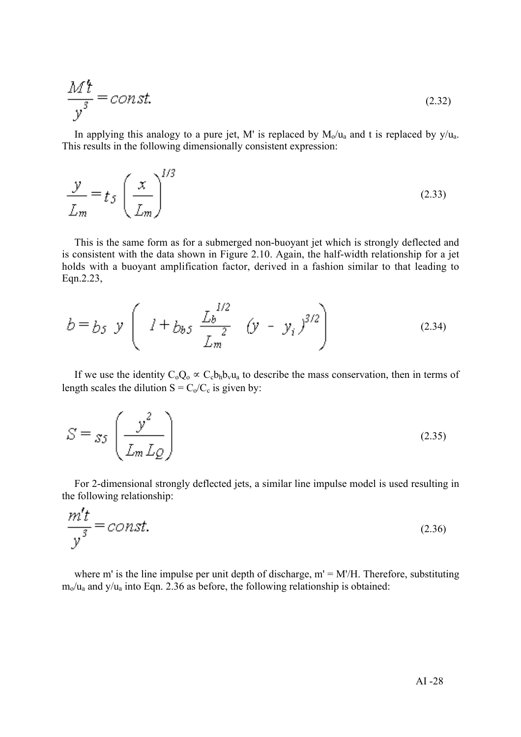$$
\frac{M^4}{y^3} = const.
$$
\n(2.32)

In applying this analogy to a pure jet, M' is replaced by  $M_0/u_a$  and t is replaced by  $y/u_a$ . This results in the following dimensionally consistent expression:

$$
\frac{y}{L_m} = t_S \left(\frac{x}{L_m}\right)^{1/3} \tag{2.33}
$$

This is the same form as for a submerged non-buoyant jet which is strongly deflected and is consistent with the data shown in Figure 2.10. Again, the half-width relationship for a jet holds with a buoyant amplification factor, derived in a fashion similar to that leading to Eqn.2.23,

$$
b = b_5 \ y \left( l + b_{b5} \ \frac{L_b^{1/2}}{L_m^2} \ (y - y_i)^{3/2} \right) \tag{2.34}
$$

If we use the identity  $C_0Q_0 \propto C_cb_hb_vu_a$  to describe the mass conservation, then in terms of length scales the dilution  $S = C_0/C_c$  is given by:

$$
S = s_5 \left(\frac{y^2}{L_m L_Q}\right) \tag{2.35}
$$

For 2-dimensional strongly deflected jets, a similar line impulse model is used resulting in the following relationship:

$$
\frac{m't}{y^3} = const.
$$
\n(2.36)

where m' is the line impulse per unit depth of discharge,  $m' = M'/H$ . Therefore, substituting  $m_0/u_a$  and y/ $u_a$  into Eqn. 2.36 as before, the following relationship is obtained: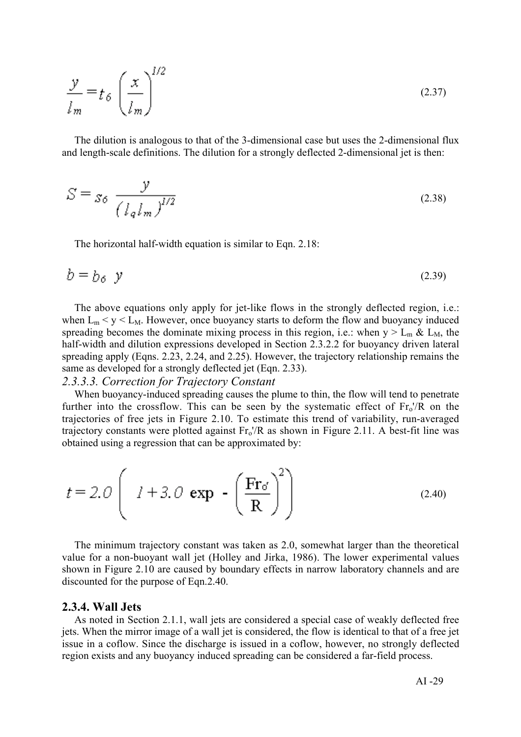$$
\frac{y}{l_m} = t_\delta \left(\frac{x}{l_m}\right)^{1/2} \tag{2.37}
$$

The dilution is analogous to that of the 3-dimensional case but uses the 2-dimensional flux and length-scale definitions. The dilution for a strongly deflected 2-dimensional jet is then:

$$
S = s_{\delta} \frac{y}{\left(l_q l_m\right)^{1/2}}\tag{2.38}
$$

The horizontal half-width equation is similar to Eqn. 2.18:

$$
b = b_6 \quad y \tag{2.39}
$$

The above equations only apply for jet-like flows in the strongly deflected region, i.e.: when  $L_m < y < L_M$ . However, once buoyancy starts to deform the flow and buoyancy induced spreading becomes the dominate mixing process in this region, i.e.: when  $y > L_m \& L_M$ , the half-width and dilution expressions developed in Section 2.3.2.2 for buoyancy driven lateral spreading apply (Eqns. 2.23, 2.24, and 2.25). However, the trajectory relationship remains the same as developed for a strongly deflected jet (Eqn. 2.33).

### *2.3.3.3. Correction for Trajectory Constant*

 $\sim$ 

When buoyancy-induced spreading causes the plume to thin, the flow will tend to penetrate further into the crossflow. This can be seen by the systematic effect of  $Fr_0'/R$  on the trajectories of free jets in Figure 2.10. To estimate this trend of variability, run-averaged trajectory constants were plotted against  $Fr_0/R$  as shown in Figure 2.11. A best-fit line was obtained using a regression that can be approximated by:

$$
t = 2.0 \left( 1 + 3.0 \exp\left(-\frac{\text{Fr}_0}{\text{R}}\right)^2 \right)
$$
 (2.40)

The minimum trajectory constant was taken as 2.0, somewhat larger than the theoretical value for a non-buoyant wall jet (Holley and Jirka, 1986). The lower experimental values shown in Figure 2.10 are caused by boundary effects in narrow laboratory channels and are discounted for the purpose of Eqn.2.40.

#### 2.3.4. Wall Jets

As noted in Section 2.1.1, wall jets are considered a special case of weakly deflected free jets. When the mirror image of a wall jet is considered, the flow is identical to that of a free jet issue in a coflow. Since the discharge is issued in a coflow, however, no strongly deflected region exists and any buoyancy induced spreading can be considered a far-field process.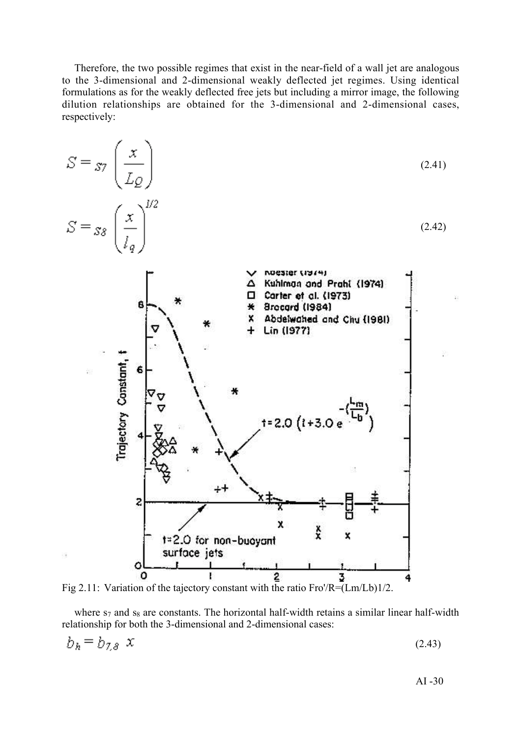Therefore, the two possible regimes that exist in the near-field of a wall jet are analogous to the 3-dimensional and 2-dimensional weakly deflected jet regimes. Using identical formulations as for the weakly deflected free jets but including a mirror image, the following dilution relationships are obtained for the 3-dimensional and 2-dimensional cases, respectively:



Fig 2.11: Variation of the tajectory constant with the ratio Fro'/R=(Lm/Lb)1/2.

where  $s_7$  and  $s_8$  are constants. The horizontal half-width retains a similar linear half-width relationship for both the 3-dimensional and 2-dimensional cases:

$$
b_h = b_{7,8} \times (2.43)
$$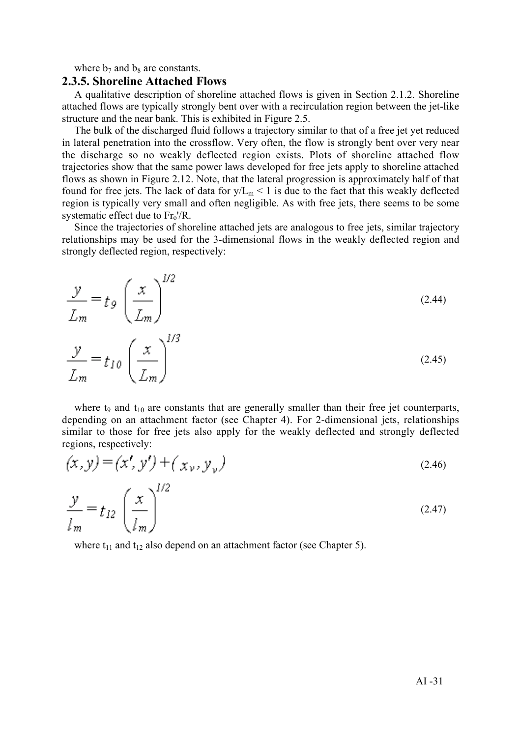where  $b_7$  and  $b_8$  are constants.

### 2.3.5. Shoreline Attached Flows

A qualitative description of shoreline attached flows is given in Section 2.1.2. Shoreline attached flows are typically strongly bent over with a recirculation region between the jet-like structure and the near bank. This is exhibited in Figure 2.5.

The bulk of the discharged fluid follows a trajectory similar to that of a free jet yet reduced in lateral penetration into the crossflow. Very often, the flow is strongly bent over very near the discharge so no weakly deflected region exists. Plots of shoreline attached flow trajectories show that the same power laws developed for free jets apply to shoreline attached flows as shown in Figure 2.12. Note, that the lateral progression is approximately half of that found for free jets. The lack of data for  $y/L_m < 1$  is due to the fact that this weakly deflected region is typically very small and often negligible. As with free jets, there seems to be some systematic effect due to  $Fr<sub>o</sub>'/R$ .

Since the trajectories of shoreline attached jets are analogous to free jets, similar trajectory relationships may be used for the 3-dimensional flows in the weakly deflected region and strongly deflected region, respectively:

$$
\frac{y}{L_m} = t_g \left(\frac{x}{L_m}\right)^{1/2}
$$
\n
$$
\frac{y}{L_m} = t_{10} \left(\frac{x}{L_m}\right)^{1/3}
$$
\n(2.45)

where t<sub>9</sub> and t<sub>10</sub> are constants that are generally smaller than their free jet counterparts, depending on an attachment factor (see Chapter 4). For 2-dimensional jets, relationships similar to those for free jets also apply for the weakly deflected and strongly deflected regions, respectively:

$$
(x, y) = (x', y') + (x_v, y_v)
$$
\n(2.46)

$$
\frac{\mathcal{Y}}{l_m} = t_{12} \left( \frac{x}{l_m} \right) \tag{2.47}
$$

where  $t_{11}$  and  $t_{12}$  also depend on an attachment factor (see Chapter 5).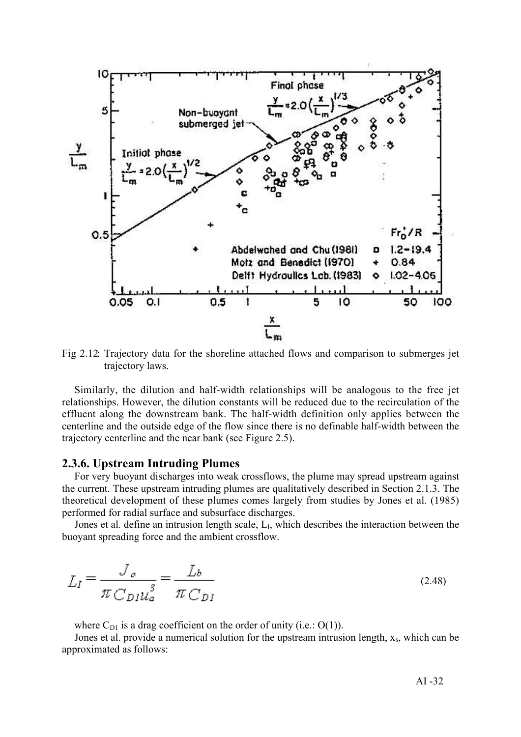

Fig 2.12: Trajectory data for the shoreline attached flows and comparison to submerges jet trajectory laws.

Similarly, the dilution and half-width relationships will be analogous to the free jet relationships. However, the dilution constants will be reduced due to the recirculation of the effluent along the downstream bank. The half-width definition only applies between the centerline and the outside edge of the flow since there is no definable half-width between the trajectory centerline and the near bank (see Figure 2.5).

### 2.3.6. Upstream Intruding Plumes

For very buoyant discharges into weak crossflows, the plume may spread upstream against the current. These upstream intruding plumes are qualitatively described in Section 2.1.3. The theoretical development of these plumes comes largely from studies by Jones et al. (1985) performed for radial surface and subsurface discharges.

Jones et al. define an intrusion length scale, L<sub>I</sub>, which describes the interaction between the buoyant spreading force and the ambient crossflow.

$$
L_I = \frac{J_o}{\pi C_{D_I u_a}^3} = \frac{L_b}{\pi C_{D_I}}\tag{2.48}
$$

where  $C_{D1}$  is a drag coefficient on the order of unity (i.e.:  $O(1)$ ).

Jones et al. provide a numerical solution for the upstream intrusion length,  $x_s$ , which can be approximated as follows: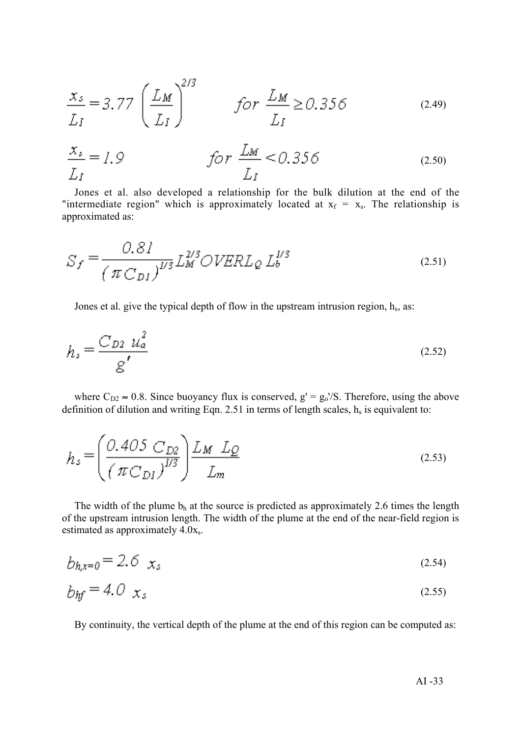$$
\frac{x_s}{L_I} = 3.77 \left(\frac{L_M}{L_I}\right)^{2/3} \qquad \text{for } \frac{L_M}{L_I} \ge 0.356 \tag{2.49}
$$

$$
\frac{x_s}{L_I} = 1.9 \qquad \qquad \text{for } \frac{L_M}{L_I} < 0.356 \tag{2.50}
$$

Jones et al. also developed a relationship for the bulk dilution at the end of the "intermediate region" which is approximately located at  $x_f = x_s$ . The relationship is approximated as:

$$
S_f = \frac{0.81}{\left(\pi C_{DI}\right)^{1/3}} L_M^{2/3} OVERL_{Q} L_b^{1/3}
$$
 (2.51)

Jones et al. give the typical depth of flow in the upstream intrusion region,  $h_s$ , as:

$$
h_s = \frac{C_{D2} u_a^2}{g'} \tag{2.52}
$$

where  $C_{D2} \approx 0.8$ . Since buoyancy flux is conserved,  $g' = g_0/S$ . Therefore, using the above definition of dilution and writing Eqn. 2.51 in terms of length scales,  $h_s$  is equivalent to:

$$
h_s = \left(\frac{0.405 \ C_{D2}}{(\pi C_{DI})^{1/3}}\right) \frac{L_M \ L_Q}{L_m}
$$
 (2.53)

The width of the plume  $b_h$  at the source is predicted as approximately 2.6 times the length of the upstream intrusion length. The width of the plume at the end of the near-field region is estimated as approximately 4.0xs.

$$
b_{h,x=0} = 2.6 \t x_s \t (2.54)
$$

$$
b_{hf} = 4.0 \t x_s \t (2.55)
$$

By continuity, the vertical depth of the plume at the end of this region can be computed as: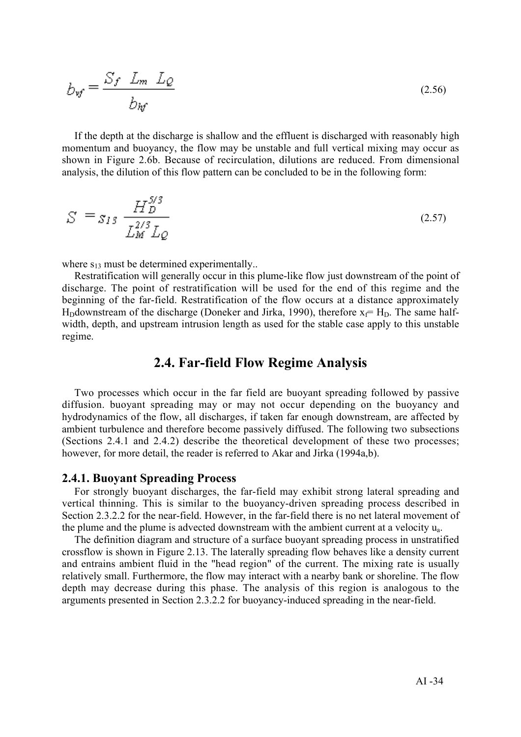$$
b_{wf} = \frac{S_f \ L_m \ L_Q}{b_{hf}}
$$
 (2.56)

If the depth at the discharge is shallow and the effluent is discharged with reasonably high momentum and buoyancy, the flow may be unstable and full vertical mixing may occur as shown in Figure 2.6b. Because of recirculation, dilutions are reduced. From dimensional analysis, the dilution of this flow pattern can be concluded to be in the following form:

$$
S = S_{13} \frac{H_D^{5/3}}{L_M^{2/3} L_Q}
$$
 (2.57)

where  $s_{13}$  must be determined experimentally..

Restratification will generally occur in this plume-like flow just downstream of the point of discharge. The point of restratification will be used for the end of this regime and the beginning of the far-field. Restratification of the flow occurs at a distance approximately H<sub>D</sub>downstream of the discharge (Doneker and Jirka, 1990), therefore  $x_f = H_D$ . The same halfwidth, depth, and upstream intrusion length as used for the stable case apply to this unstable regime.

### 2.4. Far-field Flow Regime Analysis

Two processes which occur in the far field are buoyant spreading followed by passive diffusion. buoyant spreading may or may not occur depending on the buoyancy and hydrodynamics of the flow, all discharges, if taken far enough downstream, are affected by ambient turbulence and therefore become passively diffused. The following two subsections (Sections 2.4.1 and 2.4.2) describe the theoretical development of these two processes; however, for more detail, the reader is referred to Akar and Jirka (1994a,b).

### 2.4.1. Buoyant Spreading Process

For strongly buoyant discharges, the far-field may exhibit strong lateral spreading and vertical thinning. This is similar to the buoyancy-driven spreading process described in Section 2.3.2.2 for the near-field. However, in the far-field there is no net lateral movement of the plume and the plume is advected downstream with the ambient current at a velocity ua.

The definition diagram and structure of a surface buoyant spreading process in unstratified crossflow is shown in Figure 2.13. The laterally spreading flow behaves like a density current and entrains ambient fluid in the "head region" of the current. The mixing rate is usually relatively small. Furthermore, the flow may interact with a nearby bank or shoreline. The flow depth may decrease during this phase. The analysis of this region is analogous to the arguments presented in Section 2.3.2.2 for buoyancy-induced spreading in the near-field.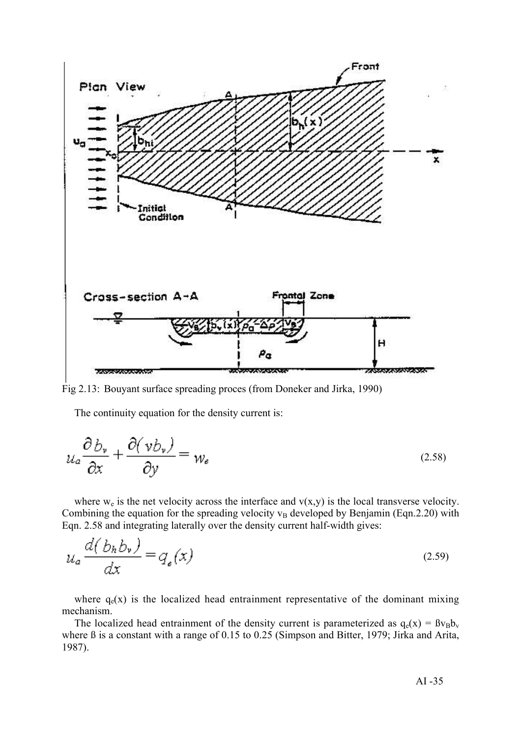

Fig 2.13: Bouyant surface spreading proces (from Doneker and Jirka, 1990)

The continuity equation for the density current is:

$$
u_a \frac{\partial b_v}{\partial x} + \frac{\partial (v b_v)}{\partial y} = w_e \tag{2.58}
$$

where  $w_e$  is the net velocity across the interface and  $v(x,y)$  is the local transverse velocity. Combining the equation for the spreading velocity  $v_B$  developed by Benjamin (Eqn.2.20) with Eqn. 2.58 and integrating laterally over the density current half-width gives:

$$
u_a \frac{d(b_h b_v)}{dx} = q_e(x) \tag{2.59}
$$

where  $q_e(x)$  is the localized head entrainment representative of the dominant mixing mechanism.

The localized head entrainment of the density current is parameterized as  $q_e(x) = \beta v_B b_v$ where ß is a constant with a range of 0.15 to 0.25 (Simpson and Bitter, 1979; Jirka and Arita, 1987).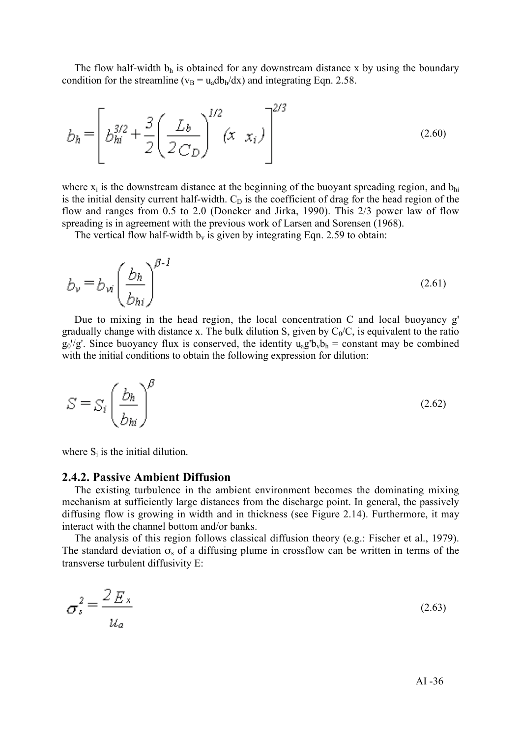The flow half-width  $b_h$  is obtained for any downstream distance x by using the boundary condition for the streamline ( $v_B = u_a db_b/dx$ ) and integrating Eqn. 2.58.

$$
b_h = \left[ b_{hi}^{3/2} + \frac{3}{2} \left( \frac{L_b}{2 C_D} \right)^{1/2} (x \ x_i) \right]^{2/3}
$$
 (2.60)

where  $x_i$  is the downstream distance at the beginning of the buoyant spreading region, and  $b_{hi}$ is the initial density current half-width.  $C<sub>D</sub>$  is the coefficient of drag for the head region of the flow and ranges from 0.5 to 2.0 (Doneker and Jirka, 1990). This 2/3 power law of flow spreading is in agreement with the previous work of Larsen and Sorensen (1968).

The vertical flow half-width  $b_v$  is given by integrating Eqn. 2.59 to obtain:

$$
b_{\nu} = b_{\nu i} \left(\frac{b_h}{b_{hi}}\right)^{\beta - 1}
$$
 (2.61)

Due to mixing in the head region, the local concentration C and local buoyancy g' gradually change with distance x. The bulk dilution S, given by  $C_0/C$ , is equivalent to the ratio  $g_0/g'$ . Since buoyancy flux is conserved, the identity  $u_a g' b_v b_h$  = constant may be combined with the initial conditions to obtain the following expression for dilution:

$$
S = S_i \left(\frac{b_h}{b_{hi}}\right)^{\beta} \tag{2.62}
$$

where  $S_i$  is the initial dilution.

#### 2.4.2. Passive Ambient Diffusion

The existing turbulence in the ambient environment becomes the dominating mixing mechanism at sufficiently large distances from the discharge point. In general, the passively diffusing flow is growing in width and in thickness (see Figure 2.14). Furthermore, it may interact with the channel bottom and/or banks.

The analysis of this region follows classical diffusion theory (e.g.: Fischer et al., 1979). The standard deviation  $\sigma_s$  of a diffusing plume in crossflow can be written in terms of the transverse turbulent diffusivity E:

$$
\sigma_s^2 = \frac{2 \, E_x}{u_a} \tag{2.63}
$$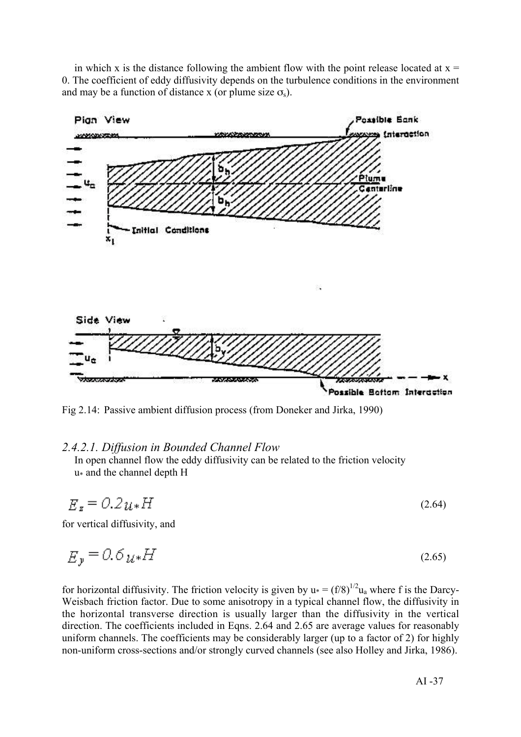in which x is the distance following the ambient flow with the point release located at  $x =$ 0. The coefficient of eddy diffusivity depends on the turbulence conditions in the environment and may be a function of distance x (or plume size  $\sigma_s$ ).



Fig 2.14: Passive ambient diffusion process (from Doneker and Jirka, 1990)

### *2.4.2.1. Diffusion in Bounded Channel Flow*

In open channel flow the eddy diffusivity can be related to the friction velocity u\* and the channel depth H

$$
E_z = 0.2u_*H
$$
 (2.64)

for vertical diffusivity, and

$$
E_y = 0.6 \, \mu \cdot H \tag{2.65}
$$

for horizontal diffusivity. The friction velocity is given by  $u_* = (f/8)^{1/2} u_a$  where f is the Darcy-Weisbach friction factor. Due to some anisotropy in a typical channel flow, the diffusivity in the horizontal transverse direction is usually larger than the diffusivity in the vertical direction. The coefficients included in Eqns. 2.64 and 2.65 are average values for reasonably uniform channels. The coefficients may be considerably larger (up to a factor of 2) for highly non-uniform cross-sections and/or strongly curved channels (see also Holley and Jirka, 1986).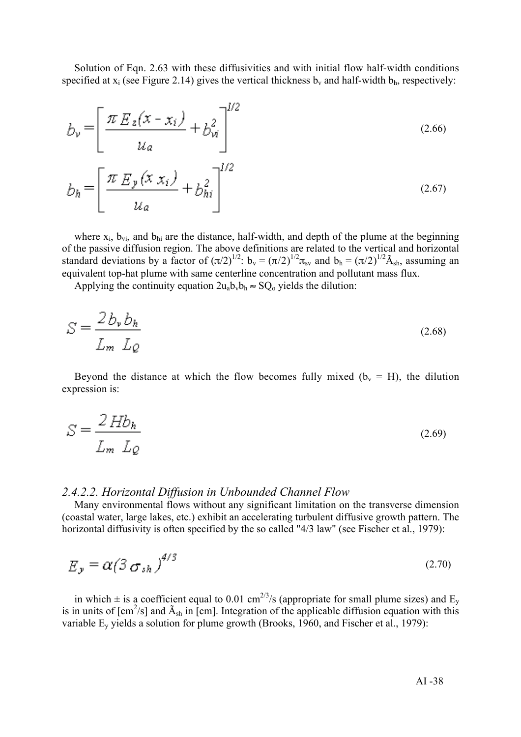Solution of Eqn. 2.63 with these diffusivities and with initial flow half-width conditions specified at  $x_i$  (see Figure 2.14) gives the vertical thickness  $b_v$  and half-width  $b_h$ , respectively:

$$
b_{\nu} = \left[ \frac{\pi E_z(x - x_i)}{u_a} + b_{\nu i}^2 \right]^{1/2}
$$
  
\n
$$
b_h = \left[ \frac{\pi E_y(x x_i)}{u_a} + b_{hi}^2 \right]^{1/2}
$$
 (2.67)

where  $x_i$ ,  $b_{vi}$ , and  $b_{hi}$  are the distance, half-width, and depth of the plume at the beginning of the passive diffusion region. The above definitions are related to the vertical and horizontal standard deviations by a factor of  $(\pi/2)^{1/2}$ :  $b_v = (\pi/2)^{1/2} \pi_{sv}$  and  $b_h = (\pi/2)^{1/2} \tilde{A}_{sh}$ , assuming an equivalent top-hat plume with same centerline concentration and pollutant mass flux.

Applying the continuity equation  $2u_a b_v b_h \approx SQ_0$  yields the dilution:

$$
S = \frac{2b_v b_h}{L_m L_Q} \tag{2.68}
$$

Beyond the distance at which the flow becomes fully mixed ( $b<sub>v</sub> = H$ ), the dilution expression is:

$$
S = \frac{2 H b_h}{L_m L_Q} \tag{2.69}
$$

### *2.4.2.2. Horizontal Diffusion in Unbounded Channel Flow*

Many environmental flows without any significant limitation on the transverse dimension (coastal water, large lakes, etc.) exhibit an accelerating turbulent diffusive growth pattern. The horizontal diffusivity is often specified by the so called "4/3 law" (see Fischer et al., 1979):

$$
E_y = \alpha \left( \frac{3}{5} \sigma_{sh} \right)^{4/3} \tag{2.70}
$$

in which  $\pm$  is a coefficient equal to 0.01 cm<sup>2/3</sup>/s (appropriate for small plume sizes) and E<sub>y</sub> is in units of  $[cm^2/s]$  and  $\tilde{A}_{sh}$  in [cm]. Integration of the applicable diffusion equation with this variable  $E_y$  yields a solution for plume growth (Brooks, 1960, and Fischer et al., 1979):